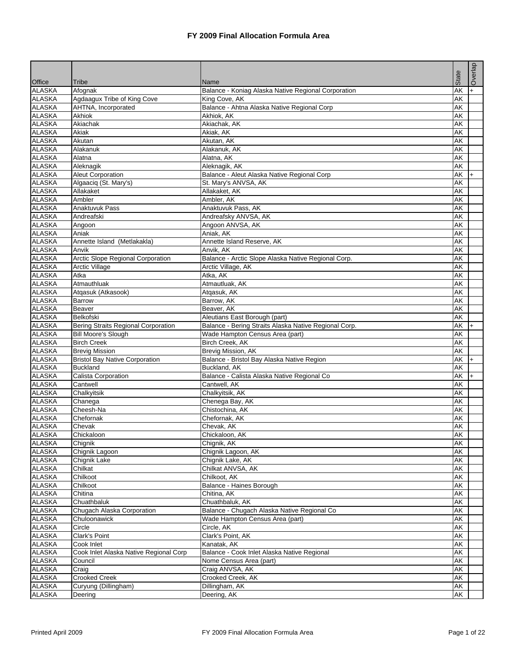|                         |                                        |                                                             | State                    | Overlap |
|-------------------------|----------------------------------------|-------------------------------------------------------------|--------------------------|---------|
| Office<br><b>ALASKA</b> | Tribe<br>Afognak                       | Name<br>Balance - Koniag Alaska Native Regional Corporation | <b>AK</b>                | $+$     |
| <b>ALASKA</b>           | Agdaagux Tribe of King Cove            | King Cove, AK                                               | AK                       |         |
| <b>ALASKA</b>           | AHTNA, Incorporated                    | Balance - Ahtna Alaska Native Regional Corp                 | AK                       |         |
| <b>ALASKA</b>           | Akhiok                                 | Akhiok, AK                                                  | AK                       |         |
| <b>ALASKA</b>           | Akiachak                               | Akiachak, AK                                                | AK                       |         |
| <b>ALASKA</b>           | Akiak                                  | Akiak, AK                                                   | AK                       |         |
| <b>ALASKA</b>           | Akutan                                 | Akutan, AK                                                  | AK                       |         |
| <b>ALASKA</b>           | Alakanuk                               | Alakanuk, AK                                                | AK                       |         |
| <b>ALASKA</b>           | Alatna                                 | Alatna, AK                                                  | AK                       |         |
| <b>ALASKA</b>           | Aleknagik                              | Aleknagik, AK                                               | $\overline{\mathsf{AK}}$ |         |
| <b>ALASKA</b>           | <b>Aleut Corporation</b>               | Balance - Aleut Alaska Native Regional Corp                 | AK                       | $+$     |
| <b>ALASKA</b>           | Algaaciq (St. Mary's)                  | St. Mary's ANVSA, AK                                        | AK                       |         |
| <b>ALASKA</b>           | Allakaket                              | Allakaket, AK                                               | AK                       |         |
| <b>ALASKA</b>           | Ambler                                 | Ambler, AK                                                  | AK                       |         |
| <b>ALASKA</b>           | Anaktuvuk Pass                         | Anaktuvuk Pass, AK                                          | AK                       |         |
| <b>ALASKA</b>           | Andreafski                             | Andreafsky ANVSA, AK                                        | AK                       |         |
| <b>ALASKA</b>           | Angoon                                 | Angoon ANVSA, AK                                            | <b>AK</b>                |         |
| <b>ALASKA</b>           | Aniak                                  | Aniak, AK                                                   | AK                       |         |
| <b>ALASKA</b>           | Annette Island (Metlakakla)            | Annette Island Reserve, AK                                  | AK                       |         |
| <b>ALASKA</b>           | Anvik                                  | Anvik, AK                                                   | AK                       |         |
| <b>ALASKA</b>           | Arctic Slope Regional Corporation      | Balance - Arctic Slope Alaska Native Regional Corp.         | AK                       |         |
| <b>ALASKA</b>           | <b>Arctic Village</b>                  | Arctic Village, AK                                          | AK                       |         |
| <b>ALASKA</b>           | Atka                                   | Atka, AK                                                    | AK                       |         |
| <b>ALASKA</b>           | Atmauthluak                            | Atmautluak, AK                                              | AK                       |         |
| <b>ALASKA</b>           | Atgasuk (Atkasook)                     | Atgasuk, AK                                                 | <b>AK</b>                |         |
| <b>ALASKA</b>           | Barrow                                 | Barrow, AK                                                  | AK                       |         |
| <b>ALASKA</b>           | Beaver                                 | Beaver, AK                                                  | AK                       |         |
| <b>ALASKA</b>           | Belkofski                              | Aleutians East Borough (part)                               | <b>AK</b>                |         |
| <b>ALASKA</b>           | Bering Straits Regional Corporation    | Balance - Bering Straits Alaska Native Regional Corp.       | AK                       | l+      |
| <b>ALASKA</b>           | <b>Bill Moore's Slough</b>             | Wade Hampton Census Area (part)                             | AK                       |         |
| <b>ALASKA</b>           | <b>Birch Creek</b>                     | Birch Creek, AK                                             | AK                       |         |
| <b>ALASKA</b>           | <b>Brevig Mission</b>                  | Brevig Mission, AK                                          | AK                       |         |
| <b>ALASKA</b>           | <b>Bristol Bay Native Corporation</b>  | Balance - Bristol Bay Alaska Native Region                  | AK                       | $ + $   |
| <b>ALASKA</b>           | Buckland                               | Buckland, AK                                                | AK                       |         |
| <b>ALASKA</b>           | Calista Corporation                    | Balance - Calista Alaska Native Regional Co                 | AK                       | $+$     |
| <b>ALASKA</b>           | Cantwell                               | Cantwell, AK                                                | AK                       |         |
| <b>ALASKA</b>           | Chalkyitsik                            | Chalkyitsik, AK                                             | AK                       |         |
| <b>ALASKA</b>           | Chanega                                | Chenega Bay, AK                                             | AK                       |         |
| <b>ALASKA</b>           | Cheesh-Na                              | Chistochina, AK                                             | AK                       |         |
| <b>ALASKA</b>           | Chefornak                              | Chefornak, AK                                               | <b>AK</b>                |         |
| <b>ALASKA</b>           | Chevak                                 | Chevak, AK                                                  | AK                       |         |
| <b>ALASKA</b>           | Chickaloon                             | Chickaloon, AK                                              | AK                       |         |
| <b>ALASKA</b>           | Chignik                                | Chignik, AK                                                 | AK                       |         |
| <b>ALASKA</b>           | Chignik Lagoon                         | Chignik Lagoon, AK                                          | AK                       |         |
| <b>ALASKA</b>           | Chignik Lake                           | Chignik Lake, AK                                            | AK                       |         |
| <b>ALASKA</b>           | Chilkat                                | Chilkat ANVSA, AK                                           | <b>AK</b>                |         |
| <b>ALASKA</b>           | Chilkoot                               | Chilkoot, AK                                                | AK                       |         |
| <b>ALASKA</b>           | Chilkoot                               | Balance - Haines Borough                                    | AK                       |         |
| <b>ALASKA</b>           | Chitina                                | Chitina, AK                                                 | AK                       |         |
| <b>ALASKA</b>           | Chuathbaluk                            | Chuathbaluk, AK                                             | AK                       |         |
| <b>ALASKA</b>           | Chugach Alaska Corporation             | Balance - Chugach Alaska Native Regional Co                 | AK                       |         |
| <b>ALASKA</b>           | Chuloonawick                           | Wade Hampton Census Area (part)                             | AK                       |         |
| <b>ALASKA</b>           | Circle                                 | Circle, AK                                                  | AK                       |         |
| <b>ALASKA</b>           | Clark's Point                          | Clark's Point, AK                                           | AK                       |         |
| <b>ALASKA</b>           | Cook Inlet                             | Kanatak, AK                                                 | AK                       |         |
| <b>ALASKA</b>           | Cook Inlet Alaska Native Regional Corp | Balance - Cook Inlet Alaska Native Regional                 | AK                       |         |
| <b>ALASKA</b>           | Council                                | Nome Census Area (part)                                     | AK                       |         |
| <b>ALASKA</b>           | Craig                                  | Craig ANVSA, AK                                             | AK                       |         |
| <b>ALASKA</b>           | <b>Crooked Creek</b>                   | Crooked Creek, AK                                           | AK                       |         |
| <b>ALASKA</b>           | Curyung (Dillingham)                   | Dillingham, AK                                              | AK                       |         |
| <b>ALASKA</b>           | Deering                                | Deering, AK                                                 | AK                       |         |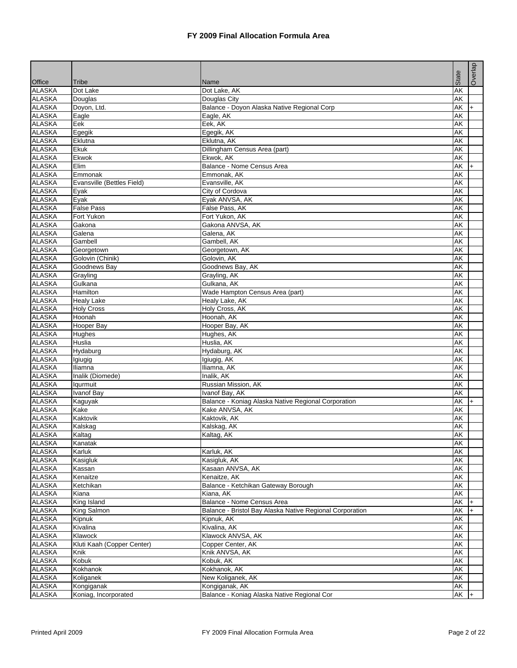|                                |                            |                                                          |                          | Overlap |
|--------------------------------|----------------------------|----------------------------------------------------------|--------------------------|---------|
|                                |                            |                                                          | State                    |         |
| <b>Office</b><br><b>ALASKA</b> | Tribe<br>Dot Lake          | Name<br>Dot Lake, AK                                     | $\overline{\mathsf{AK}}$ |         |
| <b>ALASKA</b>                  | Douglas                    | Douglas City                                             | <b>AK</b>                |         |
| <b>ALASKA</b>                  | Doyon, Ltd.                | Balance - Doyon Alaska Native Regional Corp              | AK                       | $+$     |
| <b>ALASKA</b>                  | Eagle                      | Eagle, AK                                                | AK                       |         |
| <b>ALASKA</b>                  | Eek                        | Eek, AK                                                  | AK                       |         |
| <b>ALASKA</b>                  | Egegik                     | Egegik, AK                                               | AK                       |         |
| <b>ALASKA</b>                  | Eklutna                    | Eklutna, AK                                              | AK                       |         |
| <b>ALASKA</b>                  | Ekuk                       | Dillingham Census Area (part)                            | <b>AK</b>                |         |
| <b>ALASKA</b>                  | Ekwok                      | Ekwok, AK                                                | AK                       |         |
| <b>ALASKA</b>                  | Elim                       | Balance - Nome Census Area                               | AK                       | $+$     |
| <b>ALASKA</b>                  | Emmonak                    | Emmonak, AK                                              | <b>AK</b>                |         |
| <b>ALASKA</b>                  | Evansville (Bettles Field) | Evansville, AK                                           | AK                       |         |
| <b>ALASKA</b>                  | Eyak                       | City of Cordova                                          | AK                       |         |
| <b>ALASKA</b>                  | Eyak                       | Eyak ANVSA, AK                                           | AK                       |         |
| <b>ALASKA</b>                  | <b>False Pass</b>          | False Pass, AK                                           | AK                       |         |
| <b>ALASKA</b>                  | Fort Yukon                 | Fort Yukon, AK                                           | AK                       |         |
| <b>ALASKA</b>                  | Gakona                     | Gakona ANVSA, AK                                         | AK                       |         |
| <b>ALASKA</b>                  | Galena                     | Galena, AK                                               | AK                       |         |
| <b>ALASKA</b>                  | Gambell                    | Gambell, AK                                              | AK                       |         |
| <b>ALASKA</b>                  | Georgetown                 | Georgetown, AK                                           | AK                       |         |
| <b>ALASKA</b>                  | Golovin (Chinik)           | Golovin, AK                                              | AK                       |         |
| <b>ALASKA</b>                  | Goodnews Bay               | Goodnews Bay, AK                                         | AK                       |         |
| <b>ALASKA</b>                  | Grayling                   | Grayling, AK                                             | AK                       |         |
| <b>ALASKA</b>                  | Gulkana                    | Gulkana, AK                                              | AK                       |         |
| <b>ALASKA</b>                  | Hamilton                   | Wade Hampton Census Area (part)                          | AK                       |         |
| <b>ALASKA</b>                  | <b>Healy Lake</b>          | Healy Lake, AK                                           | <b>AK</b>                |         |
| <b>ALASKA</b>                  | <b>Holy Cross</b>          | Holy Cross, AK                                           | AK                       |         |
| <b>ALASKA</b>                  | Hoonah                     | Hoonah, AK                                               | AK                       |         |
| <b>ALASKA</b>                  | Hooper Bay                 | Hooper Bay, AK                                           | <b>AK</b>                |         |
| <b>ALASKA</b>                  | Hughes                     | Hughes, AK                                               | AK                       |         |
| <b>ALASKA</b>                  | Huslia                     | Huslia, AK                                               | AK                       |         |
| <b>ALASKA</b>                  | Hydaburg                   | Hydaburg, AK                                             | AK                       |         |
| <b>ALASKA</b>                  | Igiugig                    | Igiugig, AK                                              | AK                       |         |
| <b>ALASKA</b>                  | Iliamna                    | Iliamna, AK                                              | <b>AK</b>                |         |
| <b>ALASKA</b>                  | Inalik (Diomede)           | Inalik. AK                                               | AK                       |         |
| <b>ALASKA</b>                  | lqurmuit                   | Russian Mission, AK                                      | AK                       |         |
| <b>ALASKA</b>                  | <b>Ivanof Bay</b>          | Ivanof Bay, AK                                           | AK                       |         |
| <b>ALASKA</b>                  | Kaguyak                    | Balance - Koniag Alaska Native Regional Corporation      | AK                       | $+$     |
| <b>ALASKA</b>                  | Kake                       | Kake ANVSA, AK                                           | AK                       |         |
| <b>ALASKA</b>                  | Kaktovik                   | Kaktovik, AK                                             | AK                       |         |
| <b>ALASKA</b>                  | Kalskag                    | Kalskag, AK                                              | AK                       |         |
| <b>ALASKA</b>                  | Kaltag                     | Kaltag, AK                                               | AK                       |         |
| <b>ALASKA</b>                  | Kanatak                    |                                                          | AK                       |         |
| <b>ALASKA</b>                  | Karluk                     | Karluk, AK                                               | <b>AK</b>                |         |
| <b>ALASKA</b>                  | Kasigluk                   | Kasigluk, AK                                             | AK                       |         |
| <b>ALASKA</b>                  | Kassan                     | Kasaan ANVSA, AK                                         | <b>AK</b>                |         |
| <b>ALASKA</b>                  | Kenaitze                   | Kenaitze, AK                                             | AK                       |         |
| <b>ALASKA</b>                  | Ketchikan                  | Balance - Ketchikan Gateway Borough                      | AK                       |         |
| <b>ALASKA</b>                  | Kiana                      | Kiana, AK                                                | AK                       |         |
| <b>ALASKA</b>                  | King Island                | Balance - Nome Census Area                               | AK                       | $+$     |
| <b>ALASKA</b>                  | King Salmon                | Balance - Bristol Bay Alaska Native Regional Corporation | AK                       | $ + $   |
| <b>ALASKA</b>                  | Kipnuk                     | Kipnuk, AK                                               | AK                       |         |
| <b>ALASKA</b>                  | Kivalina                   | Kivalina, AK                                             | AK                       |         |
| <b>ALASKA</b>                  | Klawock                    | Klawock ANVSA, AK                                        | AK                       |         |
| <b>ALASKA</b>                  | Kluti Kaah (Copper Center) | Copper Center, AK                                        | <b>AK</b>                |         |
| <b>ALASKA</b>                  | Knik                       | Knik ANVSA, AK                                           | AK                       |         |
| <b>ALASKA</b>                  | Kobuk                      | Kobuk, AK                                                | AK                       |         |
| <b>ALASKA</b>                  | Kokhanok                   | Kokhanok, AK                                             | AK                       |         |
| <b>ALASKA</b>                  | Koliganek                  | New Koliganek, AK                                        | AK                       |         |
| <b>ALASKA</b>                  | Kongiganak                 | Kongiganak, AK                                           | AK                       |         |
| <b>ALASKA</b>                  | Koniag, Incorporated       | Balance - Koniag Alaska Native Regional Cor              | AK                       | l+      |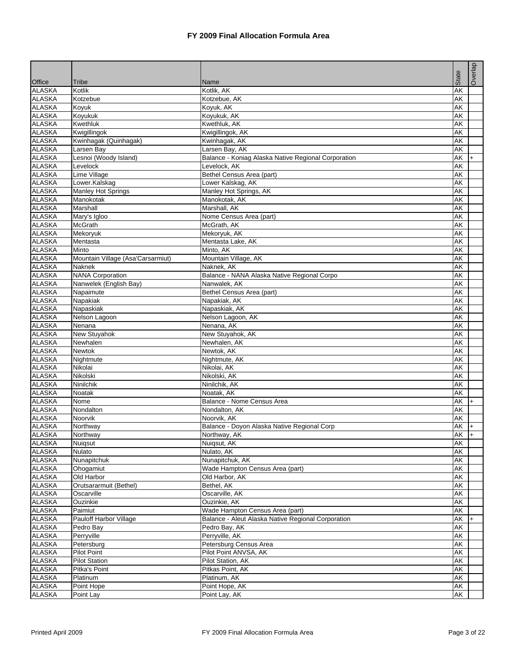|               |                                   |                                                     |           | Overlap   |
|---------------|-----------------------------------|-----------------------------------------------------|-----------|-----------|
| Office        | Tribe                             | Name                                                | State     |           |
| <b>ALASKA</b> | Kotlik                            | Kotlik, AK                                          | <b>AK</b> |           |
| <b>ALASKA</b> | Kotzebue                          | Kotzebue, AK                                        | AK        |           |
| <b>ALASKA</b> | Koyuk                             | Koyuk, AK                                           | AK        |           |
| <b>ALASKA</b> | Koyukuk                           | Koyukuk, AK                                         | AK        |           |
| <b>ALASKA</b> | Kwethluk                          | Kwethluk, AK                                        | AK        |           |
| <b>ALASKA</b> | Kwigillingok                      | Kwigillingok, AK                                    | AK        |           |
| <b>ALASKA</b> | Kwinhagak (Quinhagak)             | Kwinhagak, AK                                       | <b>AK</b> |           |
| <b>ALASKA</b> | Larsen Bay                        | Larsen Bay, AK                                      | <b>AK</b> |           |
| <b>ALASKA</b> | Lesnoi (Woody Island)             | Balance - Koniag Alaska Native Regional Corporation | AK        | $+$       |
| <b>ALASKA</b> | Levelock                          | Levelock, AK                                        | <b>AK</b> |           |
| <b>ALASKA</b> | Lime Village                      | Bethel Census Area (part)                           | <b>AK</b> |           |
| <b>ALASKA</b> | Lower.Kalskag                     | Lower Kalskag, AK                                   | AK        |           |
| <b>ALASKA</b> | <b>Manley Hot Springs</b>         | Manley Hot Springs, AK                              | AK        |           |
| <b>ALASKA</b> | Manokotak                         | Manokotak, AK                                       | AK        |           |
| <b>ALASKA</b> | Marshall                          | Marshall, AK                                        | AK        |           |
| <b>ALASKA</b> | Mary's Igloo                      | Nome Census Area (part)                             | AK        |           |
| <b>ALASKA</b> | <b>McGrath</b>                    | McGrath, AK                                         | AK        |           |
| <b>ALASKA</b> | Mekoryuk                          | Mekoryuk, AK                                        | AK        |           |
| <b>ALASKA</b> | Mentasta                          | Mentasta Lake, AK                                   | <b>AK</b> |           |
| <b>ALASKA</b> | Minto                             | Minto, AK                                           | AK        |           |
| <b>ALASKA</b> | Mountain Village (Asa'Carsarmiut) | Mountain Village, AK                                | AK        |           |
| <b>ALASKA</b> | <b>Naknek</b>                     | Naknek, AK                                          | AK        |           |
| <b>ALASKA</b> | <b>NANA Corporation</b>           | Balance - NANA Alaska Native Regional Corpo         | AK        |           |
| <b>ALASKA</b> | Nanwelek (English Bay)            | Nanwalek, AK                                        | AK        |           |
| <b>ALASKA</b> | Napaimute                         | Bethel Census Area (part)                           | <b>AK</b> |           |
| <b>ALASKA</b> | Napakiak                          | Napakiak, AK                                        | AK        |           |
| <b>ALASKA</b> | Napaskiak                         | Napaskiak, AK                                       | AK        |           |
| <b>ALASKA</b> | Nelson Lagoon                     | Nelson Lagoon, AK                                   | AK        |           |
| <b>ALASKA</b> | Nenana                            | Nenana, AK                                          | AK        |           |
| <b>ALASKA</b> | New Stuyahok                      | New Stuyahok, AK                                    | AK        |           |
| <b>ALASKA</b> | Newhalen                          | Newhalen, AK                                        | <b>AK</b> |           |
| <b>ALASKA</b> | <b>Newtok</b>                     | Newtok, AK                                          | AK        |           |
| <b>ALASKA</b> | Nightmute                         | Nightmute, AK                                       | AK        |           |
| <b>ALASKA</b> | Nikolai                           | Nikolai, AK                                         | AK        |           |
| <b>ALASKA</b> | Nikolski                          | Nikolski, AK                                        | AK        |           |
| <b>ALASKA</b> | Ninilchik                         | Ninilchik, AK                                       | AK        |           |
| <b>ALASKA</b> | Noatak                            | Noatak, AK                                          | AK        |           |
| <b>ALASKA</b> | Nome                              | Balance - Nome Census Area                          | AK        | $+$       |
| <b>ALASKA</b> | Nondalton                         | Nondalton, AK                                       | AK        |           |
| <b>ALASKA</b> | Noorvik                           | Noorvik, AK                                         | AK        |           |
| <b>ALASKA</b> | Northway                          | Balance - Doyon Alaska Native Regional Corp         | AK        | $\ddot{}$ |
| <b>ALASKA</b> | Northway                          | Northway, AK                                        | AK        | $+$       |
| <b>ALASKA</b> | Nuiqsut                           | Nuigsut, AK                                         | AK        |           |
| <b>ALASKA</b> | Nulato                            | Nulato, AK                                          | AK        |           |
| <b>ALASKA</b> | Nunapitchuk                       | Nunapitchuk, AK                                     | AK        |           |
| <b>ALASKA</b> | Ohogamiut                         | Wade Hampton Census Area (part)                     | AK        |           |
| <b>ALASKA</b> | Old Harbor                        | Old Harbor, AK                                      | AK        |           |
| <b>ALASKA</b> | Orutsararmuit (Bethel)            | Bethel, AK                                          | AK        |           |
| <b>ALASKA</b> | Oscarville                        | Oscarville, AK                                      | AK        |           |
| <b>ALASKA</b> | Ouzinkie                          | Ouzinkie, AK                                        | AK        |           |
| <b>ALASKA</b> | Paimiut                           | Wade Hampton Census Area (part)                     | AK        |           |
| <b>ALASKA</b> | Pauloff Harbor Village            | Balance - Aleut Alaska Native Regional Corporation  | AK        |           |
| <b>ALASKA</b> | Pedro Bay                         | Pedro Bay, AK                                       | AK        |           |
| <b>ALASKA</b> | Perryville                        | Perryville, AK                                      | AK        |           |
| <b>ALASKA</b> | Petersburg                        | Petersburg Census Area                              | AK        |           |
| <b>ALASKA</b> | <b>Pilot Point</b>                | Pilot Point ANVSA, AK                               | AK        |           |
| <b>ALASKA</b> | <b>Pilot Station</b>              | Pilot Station, AK                                   | AK        |           |
| <b>ALASKA</b> | Pitka's Point                     | Pitkas Point, AK                                    | AK        |           |
| <b>ALASKA</b> | Platinum                          | Platinum, AK                                        | AK        |           |
| <b>ALASKA</b> | Point Hope                        | Point Hope, AK                                      | AK        |           |
| <b>ALASKA</b> | Point Lay                         | Point Lay, AK                                       | AK        |           |
|               |                                   |                                                     |           |           |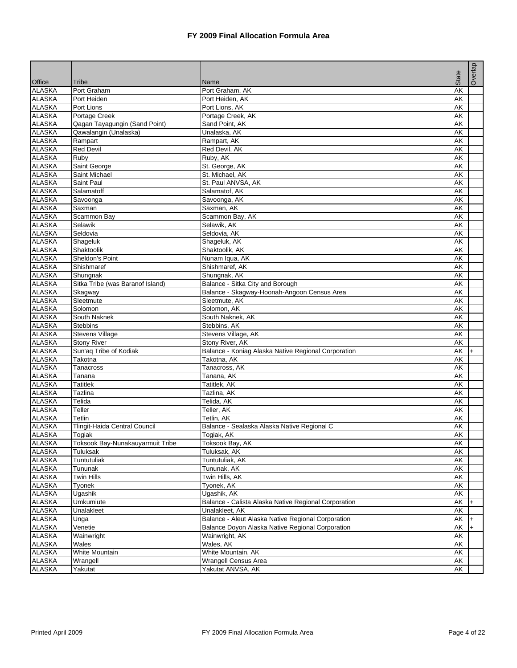|                         |                                  |                                                      | State                    | Overlap |
|-------------------------|----------------------------------|------------------------------------------------------|--------------------------|---------|
| Office<br><b>ALASKA</b> | Tribe<br>Port Graham             | Name<br>Port Graham, AK                              | $\overline{\mathsf{AK}}$ |         |
| <b>ALASKA</b>           | Port Heiden                      | Port Heiden, AK                                      | <b>AK</b>                |         |
| <b>ALASKA</b>           | Port Lions                       | Port Lions, AK                                       | AK                       |         |
| <b>ALASKA</b>           | Portage Creek                    | Portage Creek, AK                                    | AK                       |         |
| <b>ALASKA</b>           | Qagan Tayagungin (Sand Point)    | Sand Point, AK                                       | AK                       |         |
| <b>ALASKA</b>           | Qawalangin (Unalaska)            | Unalaska, AK                                         | AK                       |         |
| <b>ALASKA</b>           | Rampart                          | Rampart, AK                                          | AK                       |         |
| <b>ALASKA</b>           | <b>Red Devil</b>                 | Red Devil, AK                                        | <b>AK</b>                |         |
| <b>ALASKA</b>           | Ruby                             | Ruby, AK                                             | AK                       |         |
| <b>ALASKA</b>           | Saint George                     | St. George, AK                                       | $\overline{\mathsf{AK}}$ |         |
| <b>ALASKA</b>           | Saint Michael                    | St. Michael, AK                                      | AK                       |         |
| <b>ALASKA</b>           | Saint Paul                       | St. Paul ANVSA, AK                                   | AK                       |         |
| <b>ALASKA</b>           | Salamatoff                       | Salamatof, AK                                        | AK                       |         |
| <b>ALASKA</b>           | Savoonga                         | Savoonga, AK                                         | AK                       |         |
| <b>ALASKA</b>           | Saxman                           | Saxman, AK                                           | AK                       |         |
| <b>ALASKA</b>           | Scammon Bay                      | Scammon Bay, AK                                      | AK                       |         |
| <b>ALASKA</b>           | Selawik                          | Selawik, AK                                          | $\overline{\mathsf{AK}}$ |         |
| <b>ALASKA</b>           | Seldovia                         | Seldovia, AK                                         | AK                       |         |
| <b>ALASKA</b>           | Shageluk                         | Shaqeluk, AK                                         | AK                       |         |
| <b>ALASKA</b>           | Shaktoolik                       | Shaktoolik, AK                                       | AK                       |         |
| <b>ALASKA</b>           | Sheldon's Point                  | Nunam Iqua, AK                                       | AK                       |         |
| <b>ALASKA</b>           | Shishmaref                       | Shishmaref, AK                                       | <b>AK</b>                |         |
| <b>ALASKA</b>           | Shungnak                         | Shungnak, AK                                         | AK                       |         |
| <b>ALASKA</b>           | Sitka Tribe (was Baranof Island) | Balance - Sitka City and Borough                     | AK                       |         |
| <b>ALASKA</b>           | Skagway                          | Balance - Skagway-Hoonah-Angoon Census Area          | AK                       |         |
| <b>ALASKA</b>           | Sleetmute                        | Sleetmute, AK                                        | AK                       |         |
| <b>ALASKA</b>           | Solomon                          | Solomon, AK                                          | AK                       |         |
| <b>ALASKA</b>           | South Naknek                     | South Naknek, AK                                     | AK                       |         |
| <b>ALASKA</b>           | <b>Stebbins</b>                  | Stebbins, AK                                         | AK                       |         |
| <b>ALASKA</b>           | <b>Stevens Village</b>           | Stevens Village, AK                                  | AK                       |         |
| <b>ALASKA</b>           | <b>Stony River</b>               | Stony River, AK                                      | <b>AK</b>                |         |
| <b>ALASKA</b>           | Sun'aq Tribe of Kodiak           | Balance - Koniag Alaska Native Regional Corporation  | AK                       |         |
| <b>ALASKA</b>           | Takotna                          | Takotna, AK                                          | AK                       | $+$     |
| <b>ALASKA</b>           | Tanacross                        | Tanacross, AK                                        | AK                       |         |
| <b>ALASKA</b>           | Tanana                           | Tanana, AK                                           | AK                       |         |
| <b>ALASKA</b>           | <b>Tatitlek</b>                  | Tatitlek, AK                                         | AK                       |         |
| <b>ALASKA</b>           | Tazlina                          | Tazlina, AK                                          | AK                       |         |
| <b>ALASKA</b>           | Telida                           | Telida, AK                                           | AK                       |         |
| <b>ALASKA</b>           | Teller                           | Teller, AK                                           | AK                       |         |
| <b>ALASKA</b>           | Tetlin                           | Tetlin, AK                                           | <b>AK</b>                |         |
| <b>ALASKA</b>           | Tlingit-Haida Central Council    | Balance - Sealaska Alaska Native Regional C          | AK                       |         |
| <b>ALASKA</b>           | Togiak                           | Togiak, AK                                           | AK                       |         |
| <b>ALASKA</b>           | Toksook Bay-Nunakauyarmuit Tribe | Toksook Bay, AK                                      | AK                       |         |
| <b>ALASKA</b>           | Tuluksak                         | Tuluksak, AK                                         | AK                       |         |
| <b>ALASKA</b>           | Tuntutuliak                      | Tuntutuliak, AK                                      | AK                       |         |
| <b>ALASKA</b>           | Tununak                          | Tununak, AK                                          | AK                       |         |
| <b>ALASKA</b>           | <b>Twin Hills</b>                | Twin Hills, AK                                       | AK                       |         |
| <b>ALASKA</b>           | Tyonek                           | Tyonek, AK                                           | AK                       |         |
| <b>ALASKA</b>           | Ugashik                          | Ugashik, AK                                          | AK                       |         |
| <b>ALASKA</b>           | Umkumiute                        | Balance - Calista Alaska Native Regional Corporation | AK                       |         |
| <b>ALASKA</b>           | Unalakleet                       | Unalakleet, AK                                       | AK                       | $+$     |
| <b>ALASKA</b>           |                                  | Balance - Aleut Alaska Native Regional Corporation   | AK                       |         |
| <b>ALASKA</b>           | Unga<br>Venetie                  | Balance Doyon Alaska Native Regional Corporation     |                          |         |
| <b>ALASKA</b>           |                                  |                                                      | AK<br>AK                 | $+$     |
| <b>ALASKA</b>           | Wainwright                       | Wainwright, AK<br>Wales, AK                          |                          |         |
| <b>ALASKA</b>           | Wales<br>White Mountain          | White Mountain, AK                                   | AK<br>AK                 |         |
|                         |                                  |                                                      |                          |         |
| <b>ALASKA</b>           | Wrangell                         | Wrangell Census Area<br>Yakutat ANVSA, AK            | AK                       |         |
| <b>ALASKA</b>           | Yakutat                          |                                                      | AK                       |         |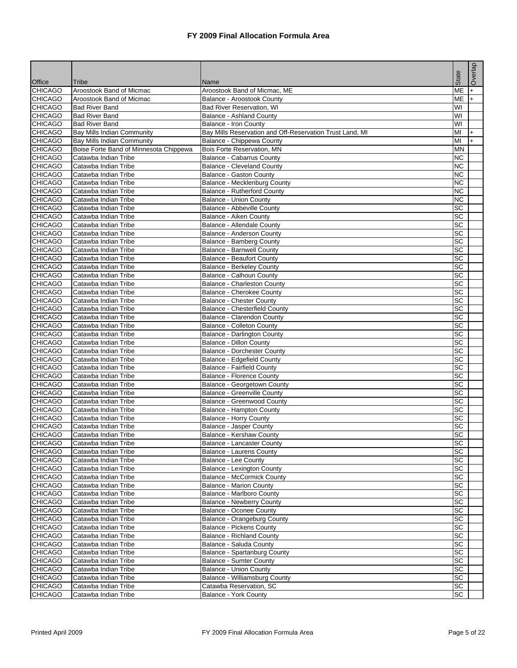|                                  |                                                                             |                                                          |                 | Overlap          |
|----------------------------------|-----------------------------------------------------------------------------|----------------------------------------------------------|-----------------|------------------|
|                                  |                                                                             |                                                          | State           |                  |
| <b>Office</b>                    | Tribe                                                                       | Name                                                     |                 |                  |
| <b>CHICAGO</b>                   | Aroostook Band of Micmac                                                    | Aroostook Band of Micmac, ME                             | <b>ME</b>       | $+$              |
| <b>CHICAGO</b>                   | Aroostook Band of Micmac                                                    | Balance - Aroostook County                               | ME              | $\ddot{}$        |
| <b>CHICAGO</b>                   | <b>Bad River Band</b>                                                       | <b>Bad River Reservation, WI</b>                         | WI<br>WI        |                  |
| <b>CHICAGO</b><br><b>CHICAGO</b> | <b>Bad River Band</b><br><b>Bad River Band</b>                              | <b>Balance - Ashland County</b>                          | WI              |                  |
| <b>CHICAGO</b>                   |                                                                             | Balance - Iron County                                    | MI              |                  |
|                                  | <b>Bay Mills Indian Community</b>                                           | Bay Mills Reservation and Off-Reservation Trust Land, MI | MI              | $+$<br>$\ddot{}$ |
| CHICAGO<br><b>CHICAGO</b>        | <b>Bay Mills Indian Community</b><br>Boise Forte Band of Minnesota Chippewa | Balance - Chippewa County<br>Bois Forte Reservation, MN  | <b>MN</b>       |                  |
| <b>CHICAGO</b>                   | Catawba Indian Tribe                                                        | <b>Balance - Cabarrus County</b>                         | <b>NC</b>       |                  |
| <b>CHICAGO</b>                   | Catawba Indian Tribe                                                        | <b>Balance - Cleveland County</b>                        | <b>NC</b>       |                  |
| <b>CHICAGO</b>                   | Catawba Indian Tribe                                                        | Balance - Gaston County                                  | <b>NC</b>       |                  |
| <b>CHICAGO</b>                   | Catawba Indian Tribe                                                        | Balance - Mecklenburg County                             | <b>NC</b>       |                  |
| CHICAGO                          | Catawba Indian Tribe                                                        | <b>Balance - Rutherford County</b>                       | <b>NC</b>       |                  |
| <b>CHICAGO</b>                   | Catawba Indian Tribe                                                        | <b>Balance - Union County</b>                            | <b>NC</b>       |                  |
| <b>CHICAGO</b>                   | Catawba Indian Tribe                                                        | Balance - Abbeville County                               | SC              |                  |
| <b>CHICAGO</b>                   | Catawba Indian Tribe                                                        | Balance - Aiken County                                   | SC              |                  |
| <b>CHICAGO</b>                   | Catawba Indian Tribe                                                        | Balance - Allendale County                               | SC              |                  |
| <b>CHICAGO</b>                   | Catawba Indian Tribe                                                        | Balance - Anderson County                                | $\overline{SC}$ |                  |
| <b>CHICAGO</b>                   | Catawba Indian Tribe                                                        | <b>Balance - Bamberg County</b>                          | SC              |                  |
| <b>CHICAGO</b>                   | Catawba Indian Tribe                                                        | <b>Balance - Barnwell County</b>                         | SC              |                  |
| <b>CHICAGO</b>                   | Catawba Indian Tribe                                                        | <b>Balance - Beaufort County</b>                         | $\overline{SC}$ |                  |
| <b>CHICAGO</b>                   | Catawba Indian Tribe                                                        | <b>Balance - Berkeley County</b>                         | $\overline{SC}$ |                  |
| <b>CHICAGO</b>                   | Catawba Indian Tribe                                                        | Balance - Calhoun County                                 | SC              |                  |
| <b>CHICAGO</b>                   | Catawba Indian Tribe                                                        | <b>Balance - Charleston County</b>                       | SC              |                  |
| CHICAGO                          | Catawba Indian Tribe                                                        | Balance - Cherokee County                                | SC              |                  |
| <b>CHICAGO</b>                   | Catawba Indian Tribe                                                        | <b>Balance - Chester County</b>                          | $\overline{SC}$ |                  |
| <b>CHICAGO</b>                   | Catawba Indian Tribe                                                        | <b>Balance - Chesterfield County</b>                     | SC              |                  |
| <b>CHICAGO</b>                   | Catawba Indian Tribe                                                        | Balance - Clarendon County                               | SC              |                  |
| <b>CHICAGO</b>                   | Catawba Indian Tribe                                                        | <b>Balance - Colleton County</b>                         | SC              |                  |
| <b>CHICAGO</b>                   | Catawba Indian Tribe                                                        | <b>Balance - Darlington County</b>                       | SC              |                  |
| CHICAGO                          | Catawba Indian Tribe                                                        | <b>Balance - Dillon County</b>                           | SC              |                  |
| <b>CHICAGO</b>                   | Catawba Indian Tribe                                                        | <b>Balance - Dorchester County</b>                       | SC              |                  |
| <b>CHICAGO</b>                   | Catawba Indian Tribe                                                        | Balance - Edgefield County                               | SC              |                  |
| <b>CHICAGO</b>                   | Catawba Indian Tribe                                                        | <b>Balance - Fairfield County</b>                        | $\overline{SC}$ |                  |
| <b>CHICAGO</b>                   | Catawba Indian Tribe                                                        | <b>Balance - Florence County</b>                         | $\overline{SC}$ |                  |
| <b>CHICAGO</b>                   | Catawba Indian Tribe                                                        | Balance - Georgetown County                              | SC              |                  |
| <b>CHICAGO</b>                   | Catawba Indian Tribe                                                        | Balance - Greenville County                              | $\overline{SC}$ |                  |
| <b>CHICAGO</b>                   | Catawba Indian Tribe                                                        | <b>Balance - Greenwood County</b>                        | $\overline{SC}$ |                  |
| <b>CHICAGO</b>                   | Catawba Indian Tribe                                                        | Balance - Hampton County                                 | <b>SC</b>       |                  |
| <b>CHICAGO</b>                   | Catawba Indian Tribe                                                        | <b>Balance - Horry County</b>                            | SC              |                  |
| <b>CHICAGO</b>                   | Catawba Indian Tribe                                                        | Balance - Jasper County                                  | SC              |                  |
| <b>CHICAGO</b>                   | Catawba Indian Tribe                                                        | Balance - Kershaw County                                 | SC              |                  |
| <b>CHICAGO</b>                   | Catawba Indian Tribe                                                        | Balance - Lancaster County                               | SC              |                  |
| <b>CHICAGO</b>                   | Catawba Indian Tribe                                                        | Balance - Laurens County                                 | SC              |                  |
| <b>CHICAGO</b>                   | Catawba Indian Tribe                                                        | <b>Balance - Lee County</b>                              | SC              |                  |
| CHICAGO                          | Catawba Indian Tribe                                                        | <b>Balance - Lexington County</b>                        | SC              |                  |
| <b>CHICAGO</b>                   | Catawba Indian Tribe                                                        | <b>Balance - McCormick County</b>                        | SC              |                  |
| <b>CHICAGO</b>                   | Catawba Indian Tribe                                                        | <b>Balance - Marion County</b>                           | <b>SC</b>       |                  |
| <b>CHICAGO</b>                   | Catawba Indian Tribe                                                        | Balance - Marlboro County                                | SC              |                  |
| CHICAGO                          | Catawba Indian Tribe                                                        | <b>Balance - Newberry County</b>                         | <b>SC</b>       |                  |
| <b>CHICAGO</b>                   | Catawba Indian Tribe                                                        | <b>Balance - Oconee County</b>                           | SC              |                  |
| <b>CHICAGO</b>                   | Catawba Indian Tribe                                                        | <b>Balance - Orangeburg County</b>                       | SC              |                  |
| <b>CHICAGO</b>                   | Catawba Indian Tribe                                                        | <b>Balance - Pickens County</b>                          | SC              |                  |
| <b>CHICAGO</b>                   | Catawba Indian Tribe                                                        | <b>Balance - Richland County</b>                         | SC              |                  |
| <b>CHICAGO</b>                   | Catawba Indian Tribe                                                        | Balance - Saluda County                                  | SC              |                  |
| CHICAGO                          | Catawba Indian Tribe                                                        | Balance - Spartanburg County                             | SC              |                  |
| CHICAGO                          | Catawba Indian Tribe                                                        | <b>Balance - Sumter County</b>                           | SC              |                  |
| <b>CHICAGO</b>                   | Catawba Indian Tribe                                                        | <b>Balance - Union County</b>                            | SC              |                  |
| <b>CHICAGO</b>                   | Catawba Indian Tribe                                                        | Balance - Williamsburg County                            | SC              |                  |
| <b>CHICAGO</b>                   | Catawba Indian Tribe                                                        | Catawba Reservation, SC                                  | SC              |                  |
| <b>CHICAGO</b>                   | Catawba Indian Tribe                                                        | Balance - York County                                    | <b>SC</b>       |                  |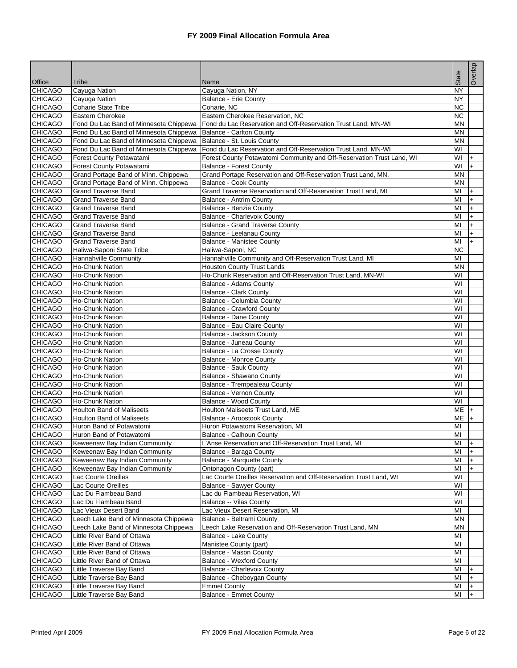|                                  |                                             |                                                                       |                 | Overlap   |
|----------------------------------|---------------------------------------------|-----------------------------------------------------------------------|-----------------|-----------|
|                                  |                                             |                                                                       | State           |           |
| Office                           | Tribe                                       | Name                                                                  |                 |           |
| <b>CHICAGO</b><br><b>CHICAGO</b> | Cayuga Nation                               | Cayuga Nation, NY                                                     | ΝY<br><b>NY</b> |           |
| <b>CHICAGO</b>                   | Cayuga Nation<br><b>Coharie State Tribe</b> | Balance - Erie County<br>Coharie, NC                                  | <b>NC</b>       |           |
| <b>CHICAGO</b>                   | Eastern Cherokee                            | Eastern Cherokee Reservation, NC                                      | <b>NC</b>       |           |
| <b>CHICAGO</b>                   | Fond Du Lac Band of Minnesota Chippewa      | Fond du Lac Reservation and Off-Reservation Trust Land, MN-WI         | <b>MN</b>       |           |
| <b>CHICAGO</b>                   | Fond Du Lac Band of Minnesota Chippewa      | Balance - Carlton County                                              | <b>MN</b>       |           |
| <b>CHICAGO</b>                   | Fond Du Lac Band of Minnesota Chippewa      | Balance - St. Louis County                                            | <b>MN</b>       |           |
| <b>CHICAGO</b>                   | Fond Du Lac Band of Minnesota Chippewa      | Fond du Lac Reservation and Off-Reservation Trust Land, MN-WI         | WI              |           |
| <b>CHICAGO</b>                   | Forest County Potawatami                    | Forest County Potawatomi Community and Off-Reservation Trust Land, WI | WI              | $+$       |
| <b>CHICAGO</b>                   | Forest County Potawatami                    | <b>Balance - Forest County</b>                                        | WI              | l+        |
| <b>CHICAGO</b>                   | Grand Portage Band of Minn. Chippewa        | Grand Portage Reservation and Off-Reservation Trust Land, MN.         | <b>MN</b>       |           |
| <b>CHICAGO</b>                   | Grand Portage Band of Minn. Chippewa        | Balance - Cook County                                                 | MN              |           |
| <b>CHICAGO</b>                   | <b>Grand Traverse Band</b>                  | Grand Traverse Reservation and Off-Reservation Trust Land, MI         | MI              | $+$       |
| <b>CHICAGO</b>                   | <b>Grand Traverse Band</b>                  | Balance - Antrim County                                               | MI              | $\ddot{}$ |
| <b>CHICAGO</b>                   | <b>Grand Traverse Band</b>                  | <b>Balance - Benzie County</b>                                        | MI              | $+$       |
| <b>CHICAGO</b>                   | <b>Grand Traverse Band</b>                  | Balance - Charlevoix County                                           | MI              | $+$       |
| <b>CHICAGO</b>                   | <b>Grand Traverse Band</b>                  | <b>Balance - Grand Traverse County</b>                                | MI              | $+$       |
| <b>CHICAGO</b>                   | <b>Grand Traverse Band</b>                  | Balance - Leelanau County                                             | MI              | $\ddot{}$ |
| <b>CHICAGO</b>                   | <b>Grand Traverse Band</b>                  | Balance - Manistee County                                             | MI              | $+$       |
| <b>CHICAGO</b>                   | Haliwa-Saponi State Tribe                   | Haliwa-Saponi, NC                                                     | <b>NC</b>       |           |
| <b>CHICAGO</b>                   | Hannahville Community                       | Hannahville Community and Off-Reservation Trust Land, MI              | MI              |           |
| <b>CHICAGO</b>                   | Ho-Chunk Nation                             | <b>Houston County Trust Lands</b>                                     | <b>MN</b>       |           |
| <b>CHICAGO</b>                   | Ho-Chunk Nation                             | Ho-Chunk Reservation and Off-Reservation Trust Land, MN-WI            | WI              |           |
| <b>CHICAGO</b>                   | Ho-Chunk Nation                             | Balance - Adams County                                                | WI              |           |
| <b>CHICAGO</b>                   | Ho-Chunk Nation                             | <b>Balance - Clark County</b>                                         | WI              |           |
| <b>CHICAGO</b>                   | Ho-Chunk Nation                             | Balance - Columbia County                                             | WI              |           |
| <b>CHICAGO</b>                   | Ho-Chunk Nation                             | <b>Balance - Crawford County</b>                                      | WI              |           |
| <b>CHICAGO</b>                   | Ho-Chunk Nation                             | Balance - Dane County                                                 | WI              |           |
| <b>CHICAGO</b>                   | Ho-Chunk Nation                             | Balance - Eau Claire County                                           | WI              |           |
| <b>CHICAGO</b>                   | <b>Ho-Chunk Nation</b>                      | Balance - Jackson County                                              | WI              |           |
| <b>CHICAGO</b>                   | Ho-Chunk Nation                             | Balance - Juneau County                                               | WI              |           |
| <b>CHICAGO</b>                   | Ho-Chunk Nation                             | Balance - La Crosse County                                            | WI              |           |
| <b>CHICAGO</b>                   | Ho-Chunk Nation                             | <b>Balance - Monroe County</b>                                        | WI              |           |
| <b>CHICAGO</b><br><b>CHICAGO</b> | Ho-Chunk Nation                             | Balance - Sauk County                                                 | WI<br>WI        |           |
| <b>CHICAGO</b>                   | Ho-Chunk Nation<br>Ho-Chunk Nation          | Balance - Shawano County<br>Balance - Trempealeau County              | WI              |           |
| <b>CHICAGO</b>                   | <b>Ho-Chunk Nation</b>                      | Balance - Vernon County                                               | WI              |           |
| <b>CHICAGO</b>                   | Ho-Chunk Nation                             | Balance - Wood County                                                 | WI              |           |
| <b>CHICAGO</b>                   | <b>Houlton Band of Maliseets</b>            | Houlton Maliseets Trust Land, ME                                      | ME              |           |
| <b>CHICAGO</b>                   | <b>Houlton Band of Maliseets</b>            | Balance - Aroostook County                                            | ME              | l+        |
| <b>CHICAGO</b>                   | Huron Band of Potawatomi                    | Huron Potawatomi Reservation, MI                                      | MI              |           |
| <b>CHICAGO</b>                   | Huron Band of Potawatomi                    | Balance - Calhoun County                                              | MI              |           |
| <b>CHICAGO</b>                   | Keweenaw Bay Indian Community               | L'Anse Reservation and Off-Reservation Trust Land, MI                 | MI              | l+        |
| <b>CHICAGO</b>                   | Keweenaw Bay Indian Community               | Balance - Baraga County                                               | MI              | $+$       |
| <b>CHICAGO</b>                   | Keweenaw Bay Indian Community               | Balance - Marquette County                                            | MI              | $+$       |
| <b>CHICAGO</b>                   | Keweenaw Bay Indian Community               | Ontonagon County (part)                                               | MI              |           |
| <b>CHICAGO</b>                   | Lac Courte Oreilles                         | Lac Courte Oreilles Reservation and Off-Reservation Trust Land, WI    | WI              |           |
| <b>CHICAGO</b>                   | Lac Courte Oreilles                         | <b>Balance - Sawyer County</b>                                        | WI              |           |
| <b>CHICAGO</b>                   | Lac Du Flambeau Band                        | Lac du Flambeau Reservation, WI                                       | WI              |           |
| <b>CHICAGO</b>                   | Lac Du Flambeau Band                        | Balance -- Vilas County                                               | WI              |           |
| <b>CHICAGO</b>                   | Lac Vieux Desert Band                       | Lac Vieux Desert Reservation, MI                                      | MI              |           |
| <b>CHICAGO</b>                   | Leech Lake Band of Minnesota Chippewa       | Balance - Beltrami County                                             | <b>MN</b>       |           |
| <b>CHICAGO</b>                   | Leech Lake Band of Minnesota Chippewa       | Leech Lake Reservation and Off-Reservation Trust Land, MN             | <b>MN</b>       |           |
| <b>CHICAGO</b>                   | Little River Band of Ottawa                 | Balance - Lake County                                                 | MI              |           |
| <b>CHICAGO</b>                   | Little River Band of Ottawa                 | Manistee County (part)                                                | MI              |           |
| <b>CHICAGO</b>                   | Little River Band of Ottawa                 | Balance - Mason County                                                | MI              |           |
| <b>CHICAGO</b>                   | Little River Band of Ottawa                 | Balance - Wexford County                                              | MI              |           |
| <b>CHICAGO</b>                   | Little Traverse Bay Band                    | Balance - Charlevoix County                                           | MI              |           |
| <b>CHICAGO</b>                   | Little Traverse Bay Band                    | Balance - Cheboygan County                                            | MI              | $+$       |
| <b>CHICAGO</b>                   | Little Traverse Bay Band                    | <b>Emmet County</b>                                                   | MI              | $+$       |
| <b>CHICAGO</b>                   | Little Traverse Bay Band                    | <b>Balance - Emmet County</b>                                         | MI              |           |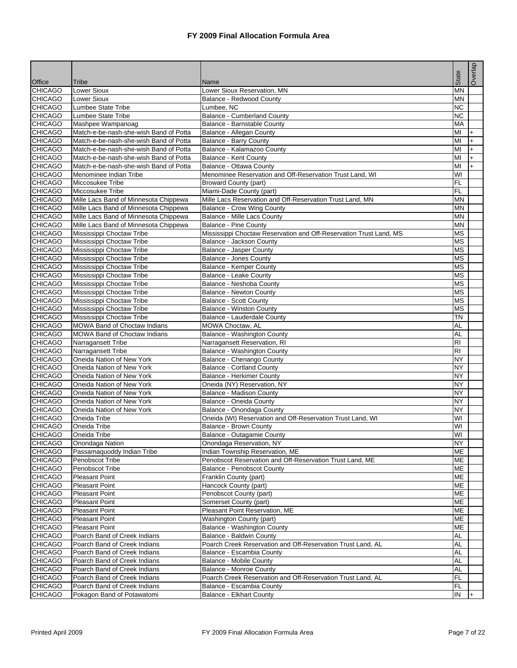|                                 |                                        |                                                                    | State          | Overlap   |
|---------------------------------|----------------------------------------|--------------------------------------------------------------------|----------------|-----------|
| <b>Office</b><br><b>CHICAGO</b> | Tribe<br>Lower Sioux                   | Name<br>Lower Sioux Reservation, MN                                | <b>MN</b>      |           |
| <b>CHICAGO</b>                  | <b>Lower Sioux</b>                     | Balance - Redwood County                                           | <b>MN</b>      |           |
| <b>CHICAGO</b>                  | Lumbee State Tribe                     | Lumbee, NC                                                         | <b>NC</b>      |           |
| <b>CHICAGO</b>                  | Lumbee State Tribe                     | <b>Balance - Cumberland County</b>                                 | <b>NC</b>      |           |
| <b>CHICAGO</b>                  | Mashpee Wampanoag                      | Balance - Barnstable County                                        | <b>MA</b>      |           |
| <b>CHICAGO</b>                  | Match-e-be-nash-she-wish Band of Potta | Balance - Allegan County                                           | MI             | $+$       |
| <b>CHICAGO</b>                  | Match-e-be-nash-she-wish Band of Potta | <b>Balance - Barry County</b>                                      | MI             | $\ddot{}$ |
| <b>CHICAGO</b>                  | Match-e-be-nash-she-wish Band of Potta | Balance - Kalamazoo County                                         | MI             | $+$       |
| <b>CHICAGO</b>                  | Match-e-be-nash-she-wish Band of Potta | Balance - Kent County                                              | MI             | $+$       |
| <b>CHICAGO</b>                  | Match-e-be-nash-she-wish Band of Potta | Balance - Ottawa County                                            | MI             | $+$       |
| <b>CHICAGO</b>                  | Menominee Indian Tribe                 | Menominee Reservation and Off-Reservation Trust Land, WI           | WI             |           |
| <b>CHICAGO</b>                  | Miccosukee Tribe                       | <b>Broward County (part)</b>                                       | FL             |           |
| <b>CHICAGO</b>                  | Miccosukee Tribe                       | Miami-Dade County (part)                                           | FL             |           |
| <b>CHICAGO</b>                  | Mille Lacs Band of Minnesota Chippewa  | Mille Lacs Reservation and Off-Reservation Trust Land, MN          | <b>MN</b>      |           |
| <b>CHICAGO</b>                  | Mille Lacs Band of Minnesota Chippewa  | <b>Balance - Crow Wing County</b>                                  | MN             |           |
| <b>CHICAGO</b>                  | Mille Lacs Band of Minnesota Chippewa  | Balance - Mille Lacs County                                        | <b>MN</b>      |           |
| <b>CHICAGO</b>                  | Mille Lacs Band of Minnesota Chippewa  | <b>Balance - Pine County</b>                                       | <b>MN</b>      |           |
| <b>CHICAGO</b>                  | Mississippi Choctaw Tribe              | Mississippi Choctaw Reservation and Off-Reservation Trust Land, MS | <b>MS</b>      |           |
| <b>CHICAGO</b>                  | Mississippi Choctaw Tribe              | Balance - Jackson County                                           | <b>MS</b>      |           |
| <b>CHICAGO</b>                  | Mississippi Choctaw Tribe              | <b>Balance - Jasper County</b>                                     | <b>MS</b>      |           |
| <b>CHICAGO</b>                  | Mississippi Choctaw Tribe              | <b>Balance - Jones County</b>                                      | <b>MS</b>      |           |
| <b>CHICAGO</b>                  | Mississippi Choctaw Tribe              | <b>Balance - Kemper County</b>                                     | <b>MS</b>      |           |
| <b>CHICAGO</b>                  | Mississippi Choctaw Tribe              | Balance - Leake County                                             | <b>MS</b>      |           |
| <b>CHICAGO</b>                  | Mississippi Choctaw Tribe              | Balance - Neshoba County                                           | <b>MS</b>      |           |
| <b>CHICAGO</b>                  | Mississippi Choctaw Tribe              | <b>Balance - Newton County</b>                                     | <b>MS</b>      |           |
| <b>CHICAGO</b>                  | Mississippi Choctaw Tribe              | <b>Balance - Scott County</b>                                      | <b>MS</b>      |           |
| <b>CHICAGO</b>                  | Mississippi Choctaw Tribe              | <b>Balance - Winston County</b>                                    | <b>MS</b>      |           |
| <b>CHICAGO</b>                  | Mississippi Choctaw Tribe              | Balance - Lauderdale County                                        | <b>TN</b>      |           |
| <b>CHICAGO</b>                  | <b>MOWA Band of Choctaw Indians</b>    | <b>MOWA Choctaw, AL</b>                                            | <b>AL</b>      |           |
| <b>CHICAGO</b>                  | <b>MOWA Band of Choctaw Indians</b>    | Balance - Washington County                                        | AL             |           |
| CHICAGO                         | Narragansett Tribe                     | Narragansett Reservation, RI                                       | RI             |           |
| <b>CHICAGO</b>                  | Narragansett Tribe                     | Balance - Washington County                                        | R <sub>l</sub> |           |
| <b>CHICAGO</b>                  | Oneida Nation of New York              | Balance - Chenango County                                          | <b>NY</b>      |           |
| <b>CHICAGO</b>                  | Oneida Nation of New York              | Balance - Cortland County                                          | <b>NY</b>      |           |
| <b>CHICAGO</b>                  | Oneida Nation of New York              | <b>Balance - Herkimer County</b>                                   | <b>NY</b>      |           |
| <b>CHICAGO</b>                  | Oneida Nation of New York              | Oneida (NY) Reservation, NY                                        | <b>NY</b>      |           |
| <b>CHICAGO</b>                  | Oneida Nation of New York              | <b>Balance - Madison County</b>                                    | <b>NY</b>      |           |
| <b>CHICAGO</b>                  | Oneida Nation of New York              | Balance - Oneida County                                            | <b>NY</b>      |           |
| <b>CHICAGO</b>                  | Oneida Nation of New York              | Balance - Onondaga County                                          | <b>NY</b>      |           |
| <b>CHICAGO</b>                  | Oneida Tribe                           | Oneida (WI) Reservation and Off-Reservation Trust Land, WI         | WI             |           |
| <b>CHICAGO</b>                  | Oneida Tribe                           | Balance - Brown County                                             | WI             |           |
| <b>CHICAGO</b>                  | <b>Oneida Tribe</b>                    | Balance - Outagamie County                                         | WI             |           |
| <b>CHICAGO</b>                  | Onondaga Nation                        | Onondaga Reservation, NY                                           | <b>NY</b>      |           |
| <b>CHICAGO</b>                  | Passamaquoddy Indian Tribe             | Indian Township Reservation, ME                                    | ME             |           |
| <b>CHICAGO</b>                  | Penobscot Tribe                        | Penobscot Reservation and Off-Reservation Trust Land, ME           | ME             |           |
| CHICAGO                         | Penobscot Tribe                        | Balance - Penobscot County                                         | ME             |           |
| <b>CHICAGO</b>                  | Pleasant Point                         | Franklin County (part)                                             | ME             |           |
| <b>CHICAGO</b>                  | Pleasant Point                         | Hancock County (part)                                              | ME             |           |
| <b>CHICAGO</b>                  | Pleasant Point                         | Penobscot County (part)                                            | ME             |           |
| CHICAGO                         | <b>Pleasant Point</b>                  | Somerset County (part)                                             | ME             |           |
| <b>CHICAGO</b>                  | <b>Pleasant Point</b>                  | Pleasant Point Reservation, ME                                     | ME             |           |
| <b>CHICAGO</b>                  | Pleasant Point                         | Washington County (part)                                           | ME             |           |
| <b>CHICAGO</b>                  | <b>Pleasant Point</b>                  | Balance - Washington County                                        | ME             |           |
| <b>CHICAGO</b>                  | Poarch Band of Creek Indians           | Balance - Baldwin County                                           | <b>AL</b>      |           |
| <b>CHICAGO</b>                  | Poarch Band of Creek Indians           | Poarch Creek Reservation and Off-Reservation Trust Land, AL        | <b>AL</b>      |           |
| CHICAGO                         | Poarch Band of Creek Indians           | Balance - Escambia County                                          | <b>AL</b>      |           |
| CHICAGO                         | Poarch Band of Creek Indians           | <b>Balance - Mobile County</b>                                     | <b>AL</b>      |           |
| <b>CHICAGO</b>                  | Poarch Band of Creek Indians           | <b>Balance - Monroe County</b>                                     | <b>AL</b>      |           |
| <b>CHICAGO</b>                  | Poarch Band of Creek Indians           | Poarch Creek Reservation and Off-Reservation Trust Land, AL        | <b>FL</b>      |           |
| CHICAGO                         | Poarch Band of Creek Indians           | Balance - Escambia County                                          | <b>FL</b>      |           |
| <b>CHICAGO</b>                  | Pokagon Band of Potawatomi             | <b>Balance - Elkhart County</b>                                    | IN             |           |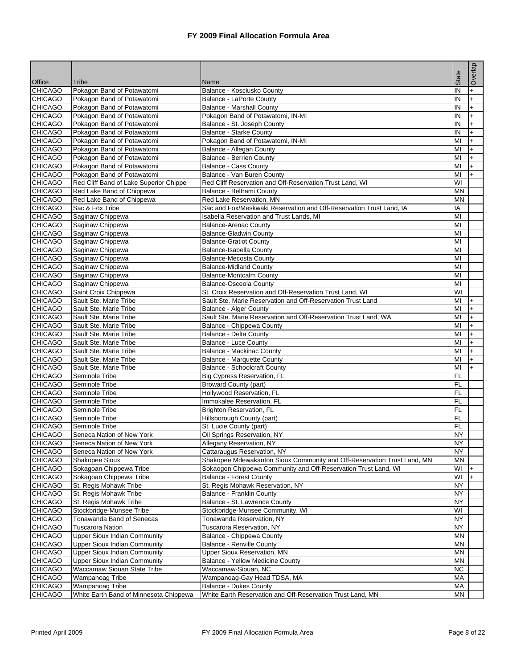|                          |                                        |                                                                         |           | Overlap   |
|--------------------------|----------------------------------------|-------------------------------------------------------------------------|-----------|-----------|
|                          |                                        |                                                                         | State     |           |
| Office<br><b>CHICAGO</b> | Tribe<br>Pokagon Band of Potawatomi    | Name<br>Balance - Kosciusko County                                      | IN        | $+$       |
| <b>CHICAGO</b>           | Pokagon Band of Potawatomi             | Balance - LaPorte County                                                | IN        |           |
| <b>CHICAGO</b>           | Pokagon Band of Potawatomi             | <b>Balance - Marshall County</b>                                        | IN        |           |
| <b>CHICAGO</b>           | Pokagon Band of Potawatomi             | Pokagon Band of Potawatomi, IN-MI                                       | IN        | $+$       |
| <b>CHICAGO</b>           | Pokagon Band of Potawatomi             | Balance - St. Joseph County                                             | IN        |           |
| <b>CHICAGO</b>           | Pokagon Band of Potawatomi             | Balance - Starke County                                                 | IN        | $+$       |
| CHICAGO                  | Pokagon Band of Potawatomi             | Pokagon Band of Potawatomi, IN-MI                                       | MI        | $+$       |
| <b>CHICAGO</b>           | Pokagon Band of Potawatomi             | Balance - Allegan County                                                | MI        |           |
| <b>CHICAGO</b>           | Pokagon Band of Potawatomi             | Balance - Berrien County                                                | MI        | $+$       |
| <b>CHICAGO</b>           | Pokagon Band of Potawatomi             | Balance - Cass County                                                   | MI        | $+$       |
| <b>CHICAGO</b>           | Pokagon Band of Potawatomi             | Balance - Van Buren County                                              | MI        |           |
| <b>CHICAGO</b>           | Red Cliff Band of Lake Superior Chippe | Red Cliff Reservation and Off-Reservation Trust Land, WI                | WI        |           |
| CHICAGO                  | Red Lake Band of Chippewa              | Balance - Beltrami County                                               | <b>MN</b> |           |
| <b>CHICAGO</b>           | Red Lake Band of Chippewa              | Red Lake Reservation, MN                                                | <b>MN</b> |           |
| <b>CHICAGO</b>           | Sac & Fox Tribe                        | Sac and Fox/Meskwaki Reservation and Off-Reservation Trust Land, IA     | IA        |           |
| <b>CHICAGO</b>           | Saginaw Chippewa                       | Isabella Reservation and Trust Lands, MI                                | MI        |           |
| <b>CHICAGO</b>           | Saginaw Chippewa                       | <b>Balance-Arenac County</b>                                            | MI        |           |
| <b>CHICAGO</b>           | Saginaw Chippewa                       | <b>Balance-Gladwin County</b>                                           | MI        |           |
| <b>CHICAGO</b>           | Saginaw Chippewa                       | <b>Balance-Gratiot County</b>                                           | MI        |           |
| CHICAGO                  | Saginaw Chippewa                       | Balance-Isabella County                                                 | MI        |           |
| <b>CHICAGO</b>           | Saginaw Chippewa                       | <b>Balance-Mecosta County</b>                                           | MI        |           |
| <b>CHICAGO</b>           | Saginaw Chippewa                       | <b>Balance-Midland County</b>                                           | MI        |           |
| <b>CHICAGO</b>           | Saginaw Chippewa                       | <b>Balance-Montcalm County</b>                                          | MI        |           |
| <b>CHICAGO</b>           | Saginaw Chippewa                       | <b>Balance-Osceola County</b>                                           | MI        |           |
| CHICAGO                  | Saint Croix Chippewa                   | St. Croix Reservation and Off-Reservation Trust Land, WI                | WI        |           |
| <b>CHICAGO</b>           | Sault Ste. Marie Tribe                 | Sault Ste. Marie Reservation and Off-Reservation Trust Land             | MI        | $+$       |
| <b>CHICAGO</b>           | Sault Ste. Marie Tribe                 | Balance - Alger County                                                  | MI        |           |
| <b>CHICAGO</b>           | Sault Ste. Marie Tribe                 | Sault Ste. Marie Reservation and Off-Reservation Trust Land, WA         | MI        |           |
| CHICAGO                  | Sault Ste. Marie Tribe                 | Balance - Chippewa County                                               | MI        | $+$       |
| <b>CHICAGO</b>           | Sault Ste. Marie Tribe                 | Balance - Delta County                                                  | MI        |           |
| <b>CHICAGO</b>           | Sault Ste. Marie Tribe                 | Balance - Luce County                                                   | MI        | $\ddot{}$ |
| CHICAGO                  | Sault Ste. Marie Tribe                 | Balance - Mackinac County                                               | MI        | $+$       |
| <b>CHICAGO</b>           | Sault Ste. Marie Tribe                 | Balance - Marquette County                                              | MI        |           |
| <b>CHICAGO</b>           | Sault Ste. Marie Tribe                 | Balance - Schoolcraft County                                            | MI        | $+$       |
| <b>CHICAGO</b>           | Seminole Tribe                         | Big Cypress Reservation, FL                                             | <b>FL</b> |           |
| <b>CHICAGO</b>           | Seminole Tribe                         | <b>Broward County (part)</b>                                            | <b>FL</b> |           |
| <b>CHICAGO</b>           | Seminole Tribe                         | Hollywood Reservation, FL                                               | <b>FL</b> |           |
| <b>CHICAGO</b>           | Seminole Tribe                         | Immokalee Reservation, FL                                               | <b>FL</b> |           |
| <b>CHICAGO</b>           | Seminole Tribe                         | <b>Brighton Reservation, FL</b>                                         | FL        |           |
| <b>CHICAGO</b>           | Seminole Tribe                         | Hillsborough County (part)                                              | <b>FL</b> |           |
| <b>CHICAGO</b>           | Seminole Tribe                         | St. Lucie County (part)                                                 | <b>FL</b> |           |
| <b>CHICAGO</b>           | Seneca Nation of New York              | Oil Springs Reservation, NY                                             | <b>NY</b> |           |
| CHICAGO                  | Seneca Nation of New York              | Allegany Reservation, NY                                                | <b>NY</b> |           |
| <b>CHICAGO</b>           | Seneca Nation of New York              | Cattaraugus Reservation, NY                                             | <b>NY</b> |           |
| CHICAGO                  | Shakopee Sioux                         | Shakopee Mdewakanton Sioux Community and Off-Reservation Trust Land, MN | ΜN        |           |
| <b>CHICAGO</b>           | Sokagoan Chippewa Tribe                | Sokaogon Chippewa Community and Off-Reservation Trust Land, WI          | WI        |           |
| <b>CHICAGO</b>           | Sokagoan Chippewa Tribe                | <b>Balance - Forest County</b>                                          | WI        |           |
| CHICAGO                  | St. Regis Mohawk Tribe                 | St. Regis Mohawk Reservation, NY                                        | <b>NY</b> |           |
| <b>CHICAGO</b>           | St. Regis Mohawk Tribe                 | Balance - Franklin County                                               | <b>NY</b> |           |
| CHICAGO                  | St. Regis Mohawk Tribe                 | Balance - St. Lawrence County                                           | <b>NY</b> |           |
| CHICAGO                  | Stockbridge-Munsee Tribe               | Stockbridge-Munsee Community, WI                                        | WI        |           |
| <b>CHICAGO</b>           | Tonawanda Band of Senecas              | Tonawanda Reservation, NY                                               | <b>NY</b> |           |
| CHICAGO                  | <b>Tuscarora Nation</b>                | Tuscarora Reservation, NY                                               | <b>NY</b> |           |
| CHICAGO                  | <b>Upper Sioux Indian Community</b>    | Balance - Chippewa County                                               | <b>MN</b> |           |
| <b>CHICAGO</b>           | <b>Upper Sioux Indian Community</b>    | <b>Balance - Renville County</b>                                        | <b>MN</b> |           |
| CHICAGO                  | <b>Upper Sioux Indian Community</b>    | Upper Sioux Reservation, MN                                             | <b>MN</b> |           |
| CHICAGO                  | <b>Upper Sioux Indian Community</b>    | Balance - Yellow Medicine County                                        | <b>MN</b> |           |
| CHICAGO                  | Waccamaw Siouan State Tribe            | Waccamaw-Siouan, NC                                                     | <b>NC</b> |           |
| <b>CHICAGO</b>           | Wampanoag Tribe                        | Wampanoag-Gay Head TDSA, MA                                             | <b>MA</b> |           |
| CHICAGO                  | Wampanoag Tribe                        | <b>Balance - Dukes County</b>                                           | <b>MA</b> |           |
| <b>CHICAGO</b>           | White Earth Band of Minnesota Chippewa | White Earth Reservation and Off-Reservation Trust Land, MN              | MN        |           |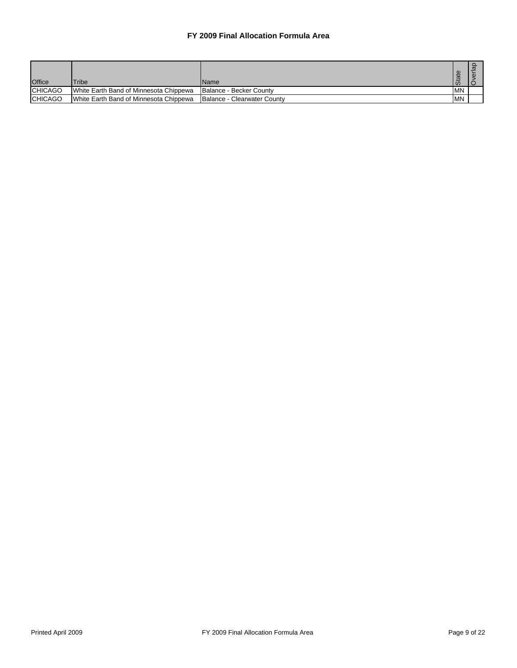| <b>Office</b>  | <b>Tribe</b>                           | <b>Name</b>                 | l Ó       |  |
|----------------|----------------------------------------|-----------------------------|-----------|--|
| <b>CHICAGO</b> | White Earth Band of Minnesota Chippewa | Balance - Becker County     | <b>MN</b> |  |
| <b>CHICAGO</b> | White Earth Band of Minnesota Chippewa | Balance - Clearwater County | <b>MN</b> |  |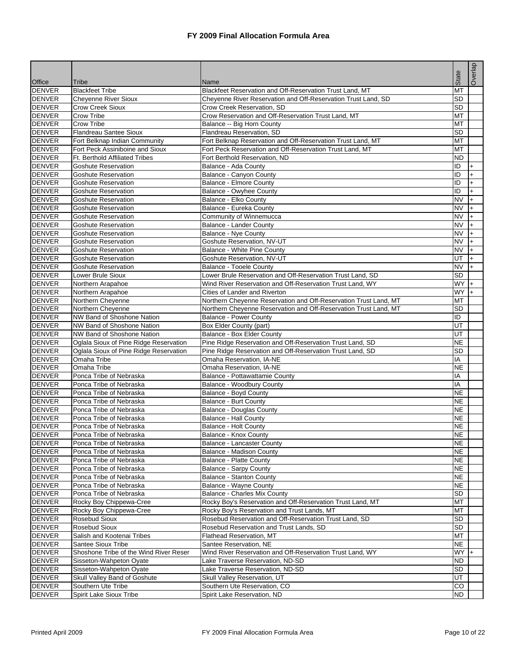|               |                                        |                                                                  |           | Overlap   |
|---------------|----------------------------------------|------------------------------------------------------------------|-----------|-----------|
|               |                                        |                                                                  | State     |           |
| Office        | Tribe                                  | Name                                                             |           |           |
| <b>DENVER</b> | <b>Blackfeet Tribe</b>                 | Blackfeet Reservation and Off-Reservation Trust Land, MT         | MT        |           |
| <b>DENVER</b> | <b>Cheyenne River Sioux</b>            | Cheyenne River Reservation and Off-Reservation Trust Land, SD    | SD        |           |
| <b>DENVER</b> | <b>Crow Creek Sioux</b>                | Crow Creek Reservation, SD                                       | <b>SD</b> |           |
| <b>DENVER</b> | Crow Tribe                             | Crow Reservation and Off-Reservation Trust Land, MT              | MT        |           |
| <b>DENVER</b> | Crow Tribe                             | Balance -- Big Horn County                                       | MT        |           |
| <b>DENVER</b> | <b>Flandreau Santee Sioux</b>          | Flandreau Reservation, SD                                        | SD        |           |
| <b>DENVER</b> | Fort Belknap Indian Community          | Fort Belknap Reservation and Off-Reservation Trust Land, MT      | MT        |           |
| <b>DENVER</b> | Fort Peck Assiniboine and Sioux        | Fort Peck Reservation and Off-Reservation Trust Land, MT         | MT        |           |
| <b>DENVER</b> | <b>Ft. Berthold Affiliated Tribes</b>  | Fort Berthold Reservation, ND                                    | ND        |           |
| <b>DENVER</b> | Goshute Reservation                    | Balance - Ada County                                             | ID        | +         |
| <b>DENVER</b> | <b>Goshute Reservation</b>             | Balance - Canyon County                                          | ID        | $+$       |
| <b>DENVER</b> | Goshute Reservation                    | Balance - Elmore County                                          | ID        | $\ddot{}$ |
| <b>DENVER</b> | <b>Goshute Reservation</b>             | Balance - Owyhee County                                          | ID        | $\ddot{}$ |
| <b>DENVER</b> | <b>Goshute Reservation</b>             | Balance - Elko County                                            | <b>NV</b> | $+$       |
| <b>DENVER</b> | <b>Goshute Reservation</b>             | Balance - Eureka County                                          | <b>NV</b> | $\ddot{}$ |
| <b>DENVER</b> | <b>Goshute Reservation</b>             | Community of Winnemucca                                          | <b>NV</b> | $\ddot{}$ |
| <b>DENVER</b> | Goshute Reservation                    | Balance - Lander County                                          | <b>NV</b> | $+$       |
| <b>DENVER</b> | <b>Goshute Reservation</b>             | <b>Balance - Nye County</b>                                      | <b>NV</b> | $\ddot{}$ |
| <b>DENVER</b> | <b>Goshute Reservation</b>             | Goshute Reservation, NV-UT                                       | <b>NV</b> | $+$       |
| <b>DENVER</b> | Goshute Reservation                    | Balance - White Pine County                                      | <b>NV</b> | $+$       |
| <b>DENVER</b> | <b>Goshute Reservation</b>             | Goshute Reservation, NV-UT                                       | UT        | $\ddot{}$ |
| <b>DENVER</b> | <b>Goshute Reservation</b>             | Balance - Tooele County                                          | <b>NV</b> | $+$       |
| <b>DENVER</b> | Lower Brule Sioux                      | Lower Brule Reservation and Off-Reservation Trust Land, SD       | <b>SD</b> |           |
| <b>DENVER</b> | Northern Arapahoe                      | Wind River Reservation and Off-Reservation Trust Land, WY        | <b>WY</b> | $\ddot{}$ |
| <b>DENVER</b> | Northern Arapahoe                      | Cities of Lander and Riverton                                    | <b>WY</b> | $+$       |
| <b>DENVER</b> | Northern Cheyenne                      | Northern Cheyenne Reservation and Off-Reservation Trust Land, MT | MT        |           |
| <b>DENVER</b> | Northern Cheyenne                      | Northern Cheyenne Reservation and Off-Reservation Trust Land, MT | SD        |           |
| <b>DENVER</b> | NW Band of Shoshone Nation             | <b>Balance - Power County</b>                                    | ID        |           |
| <b>DENVER</b> | NW Band of Shoshone Nation             | Box Elder County (part)                                          | UT        |           |
| <b>DENVER</b> | <b>NW Band of Shoshone Nation</b>      | Balance - Box Elder County                                       | UT        |           |
| <b>DENVER</b> | Oglala Sioux of Pine Ridge Reservation | Pine Ridge Reservation and Off-Reservation Trust Land, SD        | <b>NE</b> |           |
| <b>DENVER</b> | Oglala Sioux of Pine Ridge Reservation | Pine Ridge Reservation and Off-Reservation Trust Land, SD        | SD        |           |
| <b>DENVER</b> | Omaha Tribe                            | Omaha Reservation, IA-NE                                         | IA        |           |
| <b>DENVER</b> | Omaha Tribe                            | Omaha Reservation, IA-NE                                         | <b>NE</b> |           |
| <b>DENVER</b> | Ponca Tribe of Nebraska                | Balance - Pottawattamie County                                   | IA        |           |
| <b>DENVER</b> | Ponca Tribe of Nebraska                | Balance - Woodbury County                                        | IA        |           |
| <b>DENVER</b> | Ponca Tribe of Nebraska                | Balance - Boyd County                                            | <b>NE</b> |           |
| <b>DENVER</b> | Ponca Tribe of Nebraska                | <b>Balance - Burt County</b>                                     | <b>NE</b> |           |
| <b>DENVER</b> | Ponca Tribe of Nebraska                | <b>Balance - Douglas County</b>                                  | <b>NE</b> |           |
| <b>DENVER</b> | Ponca Tribe of Nebraska                | <b>Balance - Hall County</b>                                     | <b>NE</b> |           |
| <b>DENVER</b> | Ponca Tribe of Nebraska                | Balance - Holt County                                            | <b>NE</b> |           |
| <b>DENVER</b> | Ponca Tribe of Nebraska                | Balance - Knox County                                            | <b>NE</b> |           |
| <b>DENVER</b> | Ponca Tribe of Nebraska                | Balance - Lancaster County                                       | NE        |           |
| <b>DENVER</b> | Ponca Tribe of Nebraska                | Balance - Madison County                                         | NE.       |           |
| <b>DENVER</b> | Ponca Tribe of Nebraska                | <b>Balance - Platte County</b>                                   | <b>NE</b> |           |
| <b>DENVER</b> | Ponca Tribe of Nebraska                | <b>Balance - Sarpy County</b>                                    | <b>NE</b> |           |
| <b>DENVER</b> | Ponca Tribe of Nebraska                | <b>Balance - Stanton County</b>                                  | <b>NE</b> |           |
| <b>DENVER</b> | Ponca Tribe of Nebraska                | Balance - Wayne County                                           | <b>NE</b> |           |
| <b>DENVER</b> | Ponca Tribe of Nebraska                | Balance - Charles Mix County                                     | SD        |           |
| <b>DENVER</b> | Rocky Boy Chippewa-Cree                | Rocky Boy's Reservation and Off-Reservation Trust Land, MT       | МT        |           |
| <b>DENVER</b> | Rocky Boy Chippewa-Cree                | Rocky Boy's Reservation and Trust Lands, MT                      | MT        |           |
| <b>DENVER</b> | Rosebud Sioux                          | Rosebud Reservation and Off-Reservation Trust Land, SD           | SD        |           |
| <b>DENVER</b> | Rosebud Sioux                          | Rosebud Reservation and Trust Lands, SD                          | SD        |           |
| <b>DENVER</b> | Salish and Kootenai Tribes             | <b>Flathead Reservation, MT</b>                                  | MT        |           |
| <b>DENVER</b> | <b>Santee Sioux Tribe</b>              | Santee Reservation, NE                                           | <b>NE</b> |           |
| <b>DENVER</b> | Shoshone Tribe of the Wind River Reser | Wind River Reservation and Off-Reservation Trust Land, WY        | WY l      |           |
| <b>DENVER</b> | Sisseton-Wahpeton Oyate                | Lake Traverse Reservation, ND-SD                                 | ND        |           |
| <b>DENVER</b> | Sisseton-Wahpeton Oyate                | Lake Traverse Reservation, ND-SD                                 | <b>SD</b> |           |
| <b>DENVER</b> | Skull Valley Band of Goshute           | Skull Valley Reservation, UT                                     | UT        |           |
| <b>DENVER</b> | Southern Ute Tribe                     | Southern Ute Reservation, CO                                     | CO        |           |
| <b>DENVER</b> | Spirit Lake Sioux Tribe                | Spirit Lake Reservation, ND                                      | ND.       |           |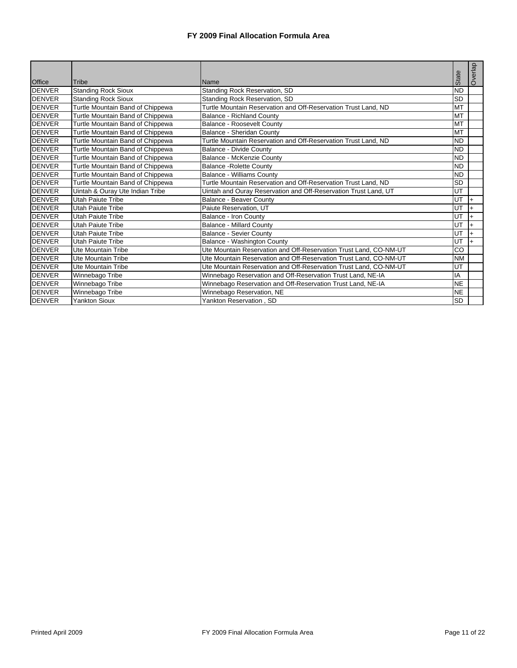|               |                                  |                                                                   |              | Overlap        |
|---------------|----------------------------------|-------------------------------------------------------------------|--------------|----------------|
| <b>Office</b> | Tribe                            | <b>Name</b>                                                       | <b>State</b> |                |
| <b>DENVER</b> | <b>Standing Rock Sioux</b>       | Standing Rock Reservation, SD                                     | <b>ND</b>    |                |
| <b>DENVER</b> | <b>Standing Rock Sioux</b>       | Standing Rock Reservation, SD                                     | <b>SD</b>    |                |
| <b>DENVER</b> | Turtle Mountain Band of Chippewa | Turtle Mountain Reservation and Off-Reservation Trust Land, ND    | <b>MT</b>    |                |
| <b>DENVER</b> | Turtle Mountain Band of Chippewa | <b>Balance - Richland County</b>                                  | <b>MT</b>    |                |
| <b>DENVER</b> | Turtle Mountain Band of Chippewa | Balance - Roosevelt County                                        | <b>MT</b>    |                |
| <b>DENVER</b> | Turtle Mountain Band of Chippewa | Balance - Sheridan County                                         | MT           |                |
| <b>DENVER</b> | Turtle Mountain Band of Chippewa | Turtle Mountain Reservation and Off-Reservation Trust Land, ND    | <b>ND</b>    |                |
| <b>DENVER</b> | Turtle Mountain Band of Chippewa | Balance - Divide County                                           | <b>ND</b>    |                |
| <b>DENVER</b> | Turtle Mountain Band of Chippewa | Balance - McKenzie County                                         | <b>ND</b>    |                |
| <b>DENVER</b> | Turtle Mountain Band of Chippewa | <b>Balance - Rolette County</b>                                   | <b>ND</b>    |                |
| <b>DENVER</b> | Turtle Mountain Band of Chippewa | <b>Balance - Williams County</b>                                  | <b>ND</b>    |                |
| <b>DENVER</b> | Turtle Mountain Band of Chippewa | Turtle Mountain Reservation and Off-Reservation Trust Land, ND    | <b>SD</b>    |                |
| <b>DENVER</b> | Uintah & Ouray Ute Indian Tribe  | Uintah and Ouray Reservation and Off-Reservation Trust Land, UT   | UT           |                |
| <b>DENVER</b> | Utah Paiute Tribe                | Balance - Beaver County                                           | UT           | $\overline{+}$ |
| <b>DENVER</b> | <b>Utah Paiute Tribe</b>         | Paiute Reservation, UT                                            | UT           |                |
| <b>DENVER</b> | Utah Paiute Tribe                | Balance - Iron County                                             | UT           |                |
| <b>DENVER</b> | Utah Paiute Tribe                | <b>Balance - Millard County</b>                                   | UT           | $+$            |
| <b>DENVER</b> | <b>Utah Paiute Tribe</b>         | <b>Balance - Sevier County</b>                                    | UT           |                |
| <b>DENVER</b> | <b>Utah Paiute Tribe</b>         | Balance - Washington County                                       | UT           |                |
| <b>DENVER</b> | Ute Mountain Tribe               | Ute Mountain Reservation and Off-Reservation Trust Land, CO-NM-UT | CO           |                |
| <b>DENVER</b> | <b>Ute Mountain Tribe</b>        | Ute Mountain Reservation and Off-Reservation Trust Land, CO-NM-UT | <b>NM</b>    |                |
| <b>DENVER</b> | <b>Ute Mountain Tribe</b>        | Jte Mountain Reservation and Off-Reservation Trust Land, CO-NM-UT | UT           |                |
| <b>DENVER</b> | Winnebago Tribe                  | Winnebago Reservation and Off-Reservation Trust Land, NE-IA       | IA           |                |
| <b>DENVER</b> | Winnebago Tribe                  | Winnebago Reservation and Off-Reservation Trust Land, NE-IA       | <b>NE</b>    |                |
| <b>DENVER</b> | Winnebago Tribe                  | Winnebago Reservation, NE                                         | <b>NE</b>    |                |
| <b>DENVER</b> | <b>Yankton Sioux</b>             | Yankton Reservation, SD                                           | <b>SD</b>    |                |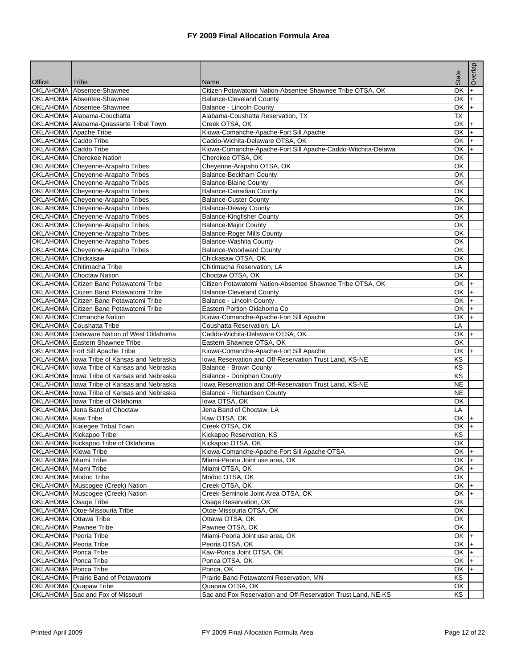| Office                | Tribe                                         | Name                                                          | State                    | Overlap    |
|-----------------------|-----------------------------------------------|---------------------------------------------------------------|--------------------------|------------|
|                       | OKLAHOMA Absentee-Shawnee                     | Citizen Potawatomi Nation-Absentee Shawnee Tribe OTSA, OK     | OK                       | $\ddot{}$  |
|                       | OKLAHOMA Absentee-Shawnee                     | <b>Balance-Cleveland County</b>                               | OK                       | $\ddot{+}$ |
|                       | OKLAHOMA Absentee-Shawnee                     | <b>Balance - Lincoln County</b>                               | OK                       | $\ddot{}$  |
|                       | OKLAHOMA Alabama-Couchatta                    | Alabama-Coushatta Reservation, TX                             | <b>TX</b>                |            |
|                       | OKLAHOMA Alabama-Quassarte Tribal Town        | Creek OTSA, OK                                                | OK                       | $\ddot{}$  |
|                       | OKLAHOMA Apache Tribe                         | Kiowa-Comanche-Apache-Fort Sill Apache                        | OK                       | $+$        |
| OKLAHOMA Caddo Tribe  |                                               | Caddo-Wichita-Delaware OTSA, OK                               | OK                       | l+         |
| OKLAHOMA Caddo Tribe  |                                               | Kiowa-Comanche-Apache-Fort Sill Apache-Caddo-Witchita-Delawa  | OK                       | $\ddot{}$  |
|                       | OKLAHOMA Cherokee Nation                      | Cherokee OTSA, OK                                             | OK                       |            |
|                       | OKLAHOMA Cheyenne-Arapaho Tribes              | Cheyenne-Arapaho OTSA, OK                                     | OK                       |            |
|                       | OKLAHOMA Cheyenne-Arapaho Tribes              | Balance-Beckham County                                        | OK                       |            |
|                       | OKLAHOMA Cheyenne-Arapaho Tribes              | <b>Balance-Blaine County</b>                                  | OK                       |            |
|                       | OKLAHOMA Cheyenne-Arapaho Tribes              | <b>Balance-Canadian County</b>                                | ОK                       |            |
|                       | OKLAHOMA Cheyenne-Arapaho Tribes              | <b>Balance-Custer County</b>                                  | OK                       |            |
|                       | OKLAHOMA Cheyenne-Arapaho Tribes              | <b>Balance-Dewey County</b>                                   | OK                       |            |
|                       | OKLAHOMA Cheyenne-Arapaho Tribes              | <b>Balance-Kingfisher County</b>                              | OK                       |            |
|                       | OKLAHOMA Cheyenne-Arapaho Tribes              | <b>Balance-Major County</b>                                   | ОK                       |            |
|                       | OKLAHOMA Cheyenne-Arapaho Tribes              | <b>Balance-Roger Mills County</b>                             | ОΚ                       |            |
|                       | OKLAHOMA Cheyenne-Arapaho Tribes              | Balance-Washita County<br><b>Balance-Woodward County</b>      | OK<br>OK                 |            |
| OKLAHOMA Chickasaw    | OKLAHOMA Cheyenne-Arapaho Tribes              |                                                               |                          |            |
|                       | OKLAHOMA Chitimacha Tribe                     | Chickasaw OTSA, OK<br>Chitimacha Reservation, LA              | ОΚ<br>LA                 |            |
|                       | OKLAHOMA Choctaw Nation                       | Choctaw OTSA, OK                                              | OK                       |            |
|                       | <b>OKLAHOMA</b> Citizen Band Potawatomi Tribe | Citizen Potawatomi Nation-Absentee Shawnee Tribe OTSA, OK     | OK +                     |            |
|                       | OKLAHOMA Citizen Band Potawatomi Tribe        | <b>Balance-Cleveland County</b>                               | OK                       | $+$        |
|                       | OKLAHOMA Citizen Band Potawatomi Tribe        | <b>Balance - Lincoln County</b>                               | OK                       | $+$        |
|                       | <b>OKLAHOMA</b> Citizen Band Potawatomi Tribe | Eastern Portion Oklahoma Co                                   | ОK                       | $+$        |
|                       | OKLAHOMA Comanche Nation                      | Kiowa-Comanche-Apache-Fort Sill Apache                        | OK                       | $\ddot{}$  |
|                       | OKLAHOMA Coushatta Tribe                      | Coushatta Reservation, LA                                     | LA                       |            |
|                       | OKLAHOMA   Delaware Nation of West Oklahoma   | Caddo-Wichita-Delaware OTSA, OK                               | $OK +$                   |            |
|                       | OKLAHOMA Eastern Shawnee Tribe                | Eastern Shawnee OTSA, OK                                      | $\overline{\mathsf{OK}}$ |            |
|                       | OKLAHOMA Fort Sill Apache Tribe               | Kiowa-Comanche-Apache-Fort Sill Apache                        | OK                       | l+         |
|                       | OKLAHOMA lowa Tribe of Kansas and Nebraska    | lowa Reservation and Off-Reservation Trust Land, KS-NE        | KS                       |            |
|                       | OKLAHOMA lowa Tribe of Kansas and Nebraska    | Balance - Brown County                                        | $\overline{\text{KS}}$   |            |
|                       | OKLAHOMA Iowa Tribe of Kansas and Nebraska    | Balance - Doniphan County                                     | KS                       |            |
|                       | OKLAHOMA lowa Tribe of Kansas and Nebraska    | Iowa Reservation and Off-Reservation Trust Land, KS-NE        | <b>NE</b>                |            |
|                       | OKLAHOMA lowa Tribe of Kansas and Nebraska    | Balance - Richardson County                                   | <b>NE</b>                |            |
|                       | OKLAHOMA Iowa Tribe of Oklahoma               | lowa OTSA, OK                                                 | OK                       |            |
|                       | OKLAHOMA Jena Band of Choctaw                 | Jena Band of Choctaw, LA                                      | LA                       |            |
| OKLAHOMA Kaw Tribe    |                                               | Kaw OTSA, OK                                                  | OK                       | $\ddot{}$  |
|                       | OKLAHOMA Kialegee Tribal Town                 | Creek OTSA, OK                                                | ОK                       | $\ddot{}$  |
|                       | OKLAHOMA Kickapoo Tribe                       | Kickapoo Reservation, KS                                      | $\overline{KS}$          |            |
|                       | OKLAHOMA Kickapoo Tribe of Oklahoma           | Kickapoo OTSA, OK                                             | OK                       |            |
| OKLAHOMA Kiowa Tribe  |                                               | Kiowa-Comanche-Apache-Fort Sill Apache OTSA                   | OK I+                    |            |
| OKLAHOMA Miami Tribe  |                                               | Miami-Peoria Joint use area, OK                               | OK I+                    |            |
| OKLAHOMA Miami Tribe  |                                               | Miami OTSA, OK                                                | OK I+                    |            |
| OKLAHOMA Modoc Tribe  |                                               | Modoc OTSA, OK                                                | OK                       |            |
|                       | OKLAHOMA Muscogee (Creek) Nation              | Creek OTSA, OK                                                | $OK +$                   |            |
| OKLAHOMA Osage Tribe  | OKLAHOMA Muscogee (Creek) Nation              | Creek-Seminole Joint Area OTSA, OK<br>Osage Reservation, OK   | OK I+<br>OK              |            |
|                       | OKLAHOMA Otoe-Missouria Tribe                 | Otoe-Missouria OTSA, OK                                       | ОK                       |            |
| OKLAHOMA Ottawa Tribe |                                               | Ottawa OTSA, OK                                               | OK                       |            |
|                       | OKLAHOMA Pawnee Tribe                         | Pawnee OTSA, OK                                               | OK                       |            |
| OKLAHOMA Peoria Tribe |                                               | Miami-Peoria Joint use area, OK                               | OK +                     |            |
| OKLAHOMA Peoria Tribe |                                               | Peoria OTSA, OK                                               | $OK +$                   |            |
| OKLAHOMA Ponca Tribe  |                                               | Kaw-Ponca Joint OTSA, OK                                      | OK I+                    |            |
| OKLAHOMA Ponca Tribe  |                                               | Ponca OTSA, OK                                                | $OK +$                   |            |
| OKLAHOMA Ponca Tribe  |                                               | Ponca, OK                                                     | $OK +$                   |            |
|                       | OKLAHOMA Prairie Band of Potawatomi           | Prairie Band Potawatomi Reservation, MN                       | KS                       |            |
|                       | OKLAHOMA Quapaw Tribe                         | Quapaw OTSA, OK                                               | OK                       |            |
|                       | OKLAHOMA Sac and Fox of Missouri              | Sac and Fox Reservation and Off-Reservation Trust Land, NE-KS | <b>KS</b>                |            |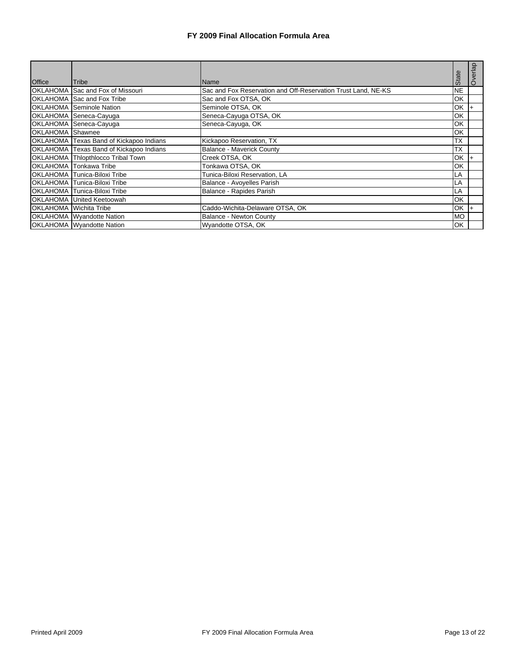|                  |                                         |                                                               |            | Overlap |
|------------------|-----------------------------------------|---------------------------------------------------------------|------------|---------|
| Office           | <b>Tribe</b>                            | <b>Name</b>                                                   | State      |         |
|                  | OKLAHOMA Sac and Fox of Missouri        | Sac and Fox Reservation and Off-Reservation Trust Land, NE-KS | <b>NE</b>  |         |
|                  | OKLAHOMA Sac and Fox Tribe              | Sac and Fox OTSA, OK                                          | OK         |         |
|                  | <b>OKLAHOMA</b> Seminole Nation         | Seminole OTSA, OK                                             | OK         |         |
|                  | OKLAHOMA Seneca-Cayuga                  | Seneca-Cayuga OTSA, OK                                        | <b>IOK</b> |         |
|                  | OKLAHOMA Seneca-Cayuga                  | Seneca-Cayuga, OK                                             | <b>OK</b>  |         |
| OKLAHOMA Shawnee |                                         |                                                               | OK         |         |
|                  | OKLAHOMA Texas Band of Kickapoo Indians | Kickapoo Reservation, TX                                      | <b>TX</b>  |         |
|                  | OKLAHOMA Texas Band of Kickapoo Indians | Balance - Maverick County                                     | <b>TX</b>  |         |
|                  | OKLAHOMA Thlopthlocco Tribal Town       | Creek OTSA, OK                                                | OK         |         |
|                  | OKLAHOMA Tonkawa Tribe                  | Tonkawa OTSA, OK                                              | OK         |         |
|                  | OKLAHOMA Tunica-Biloxi Tribe            | Tunica-Biloxi Reservation, LA                                 | LA         |         |
|                  | OKLAHOMA Tunica-Biloxi Tribe            | Balance - Avoyelles Parish                                    | LA         |         |
|                  | OKLAHOMA Tunica-Biloxi Tribe            | Balance - Rapides Parish                                      | LA         |         |
|                  | OKLAHOMA United Keetoowah               |                                                               | OK         |         |
|                  | OKLAHOMA Wichita Tribe                  | Caddo-Wichita-Delaware OTSA, OK                               | <b>OK</b>  |         |
|                  | <b>OKLAHOMA</b> Wyandotte Nation        | Balance - Newton County                                       | <b>MO</b>  |         |
|                  | <b>OKLAHOMA</b> Wyandotte Nation        | Wyandotte OTSA, OK                                            | OK         |         |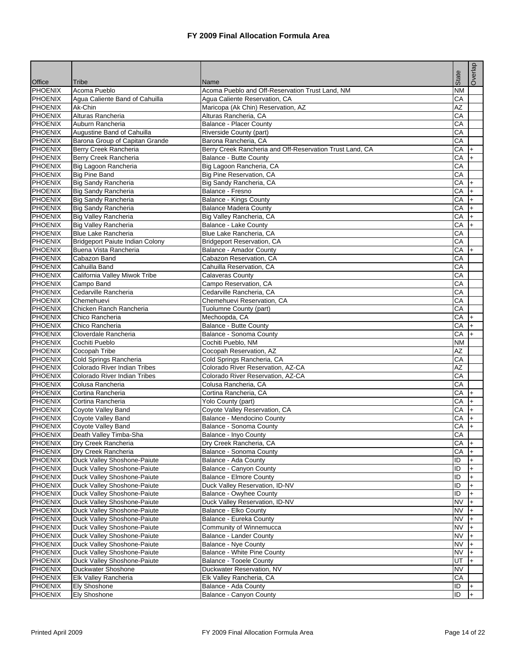| Office                           | Tribe                                         | Name                                                        | State     | Overlap   |
|----------------------------------|-----------------------------------------------|-------------------------------------------------------------|-----------|-----------|
| <b>PHOENIX</b>                   | Acoma Pueblo                                  | Acoma Pueblo and Off-Reservation Trust Land, NM             | <b>NM</b> |           |
| <b>PHOENIX</b>                   | Agua Caliente Band of Cahuilla                | Agua Caliente Reservation, CA                               | CA        |           |
| <b>PHOENIX</b>                   | Ak-Chin                                       | Maricopa (Ak Chin) Reservation, AZ                          | AZ        |           |
| <b>PHOENIX</b>                   | Alturas Rancheria                             | Alturas Rancheria, CA                                       | CA        |           |
| <b>PHOENIX</b>                   | Auburn Rancheria                              | <b>Balance - Placer County</b>                              | CA        |           |
| <b>PHOENIX</b>                   | Augustine Band of Cahuilla                    | Riverside County (part)                                     | CA        |           |
| <b>PHOENIX</b>                   | Barona Group of Capitan Grande                | Barona Rancheria, CA                                        | CA        |           |
| <b>PHOENIX</b>                   | Berry Creek Rancheria                         | Berry Creek Rancheria and Off-Reservation Trust Land, CA    | CA        | $\ddot{}$ |
| <b>PHOENIX</b>                   | Berry Creek Rancheria                         | Balance - Butte County                                      | CA        | $+$       |
| <b>PHOENIX</b>                   | Big Lagoon Rancheria                          | Big Lagoon Rancheria, CA                                    | CA        |           |
| <b>PHOENIX</b>                   | <b>Big Pine Band</b>                          | Big Pine Reservation, CA                                    | CA        |           |
| <b>PHOENIX</b>                   | Big Sandy Rancheria                           | Big Sandy Rancheria, CA                                     | CA        | $\ddot{}$ |
| <b>PHOENIX</b>                   | <b>Big Sandy Rancheria</b>                    | Balance - Fresno                                            | CA        | $+$       |
| <b>PHOENIX</b>                   | Big Sandy Rancheria                           | Balance - Kings County                                      | СA        | $+$       |
| <b>PHOENIX</b>                   | <b>Big Sandy Rancheria</b>                    | <b>Balance Madera County</b>                                | СA        | $+$       |
| <b>PHOENIX</b>                   | <b>Big Valley Rancheria</b>                   | Big Valley Rancheria, CA                                    | СA        | $+$       |
| <b>PHOENIX</b>                   | <b>Big Valley Rancheria</b>                   | <b>Balance - Lake County</b>                                | CA        | $+$       |
| <b>PHOENIX</b>                   | <b>Blue Lake Rancheria</b>                    | Blue Lake Rancheria, CA                                     | CA        |           |
| <b>PHOENIX</b>                   | Bridgeport Paiute Indian Colony               | <b>Bridgeport Reservation, CA</b>                           | CA        |           |
| <b>PHOENIX</b>                   | Buena Vista Rancheria                         | Balance - Amador County                                     | CA        | $+$       |
| <b>PHOENIX</b>                   | Cabazon Band                                  | Cabazon Reservation, CA                                     | CA        |           |
| <b>PHOENIX</b>                   | Cahuilla Band                                 | Cahuilla Reservation, CA                                    | CA        |           |
| <b>PHOENIX</b>                   | California Valley Miwok Tribe                 | <b>Calaveras County</b>                                     | CA        |           |
| <b>PHOENIX</b>                   | Campo Band                                    | Campo Reservation, CA                                       | CA        |           |
| <b>PHOENIX</b>                   | Cedarville Rancheria                          | Cedarville Rancheria, CA                                    | CA        |           |
| <b>PHOENIX</b>                   | Chemehuevi                                    | Chemehuevi Reservation, CA                                  | CA        |           |
| <b>PHOENIX</b>                   | Chicken Ranch Rancheria                       | Tuolumne County (part)                                      | СA        |           |
| <b>PHOENIX</b>                   | Chico Rancheria                               | Mechoopda, CA                                               | CA        | l+        |
| <b>PHOENIX</b>                   | Chico Rancheria                               | Balance - Butte County                                      | СA        | I+        |
| <b>PHOENIX</b>                   | Cloverdale Rancheria                          | Balance - Sonoma County                                     | СA        |           |
| <b>PHOENIX</b>                   | Cochiti Pueblo                                | Cochiti Pueblo, NM                                          | <b>NM</b> |           |
| <b>PHOENIX</b>                   | Cocopah Tribe                                 | Cocopah Reservation, AZ                                     | <b>AZ</b> |           |
| <b>PHOENIX</b>                   | Cold Springs Rancheria                        | Cold Springs Rancheria, CA                                  | CA        |           |
| <b>PHOENIX</b>                   | Colorado River Indian Tribes                  | Colorado River Reservation, AZ-CA                           | <b>AZ</b> |           |
| <b>PHOENIX</b>                   | Colorado River Indian Tribes                  | Colorado River Reservation, AZ-CA                           | CA        |           |
| <b>PHOENIX</b>                   | Colusa Rancheria                              | Colusa Rancheria, CA                                        | CA        |           |
| <b>PHOENIX</b>                   | Cortina Rancheria                             | Cortina Rancheria, CA                                       | CA        | $\ddot{}$ |
| <b>PHOENIX</b>                   | Cortina Rancheria                             | Yolo County (part)                                          | CA        | $+$       |
| <b>PHOENIX</b><br><b>PHOENIX</b> | <b>Coyote Valley Band</b>                     | Coyote Valley Reservation, CA<br>Balance - Mendocino County | СA<br>CA  | I+        |
| <b>PHOENIX</b>                   | Coyote Valley Band                            | Balance - Sonoma County                                     |           | $+$       |
| <b>PHOENIX</b>                   | <b>Coyote Valley Band</b>                     |                                                             | CA<br>CA  | $+$       |
| <b>PHOENIX</b>                   | Death Valley Timba-Sha<br>Dry Creek Rancheria | Balance - Inyo County                                       |           |           |
| <b>PHOENIX</b>                   | Dry Creek Rancheria                           | Dry Creek Rancheria, CA<br>Balance - Sonoma County          | СA<br>CA  | $ + $     |
| <b>PHOENIX</b>                   | Duck Valley Shoshone-Paiute                   | Balance - Ada County                                        | ID        | $+$<br>l+ |
| <b>PHOENIX</b>                   | Duck Valley Shoshone-Paiute                   | Balance - Canyon County                                     | ID        | $\ddot{}$ |
| <b>PHOENIX</b>                   | Duck Valley Shoshone-Paiute                   | Balance - Elmore County                                     | ID        | $\ddot{}$ |
| PHOENIX                          | Duck Valley Shoshone-Paiute                   | Duck Valley Reservation, ID-NV                              | ID        | $+$       |
| <b>PHOENIX</b>                   | Duck Valley Shoshone-Paiute                   | <b>Balance - Owyhee County</b>                              | ID        | $\ddot{}$ |
| <b>PHOENIX</b>                   | Duck Valley Shoshone-Paiute                   | Duck Valley Reservation, ID-NV                              | <b>NV</b> | $+$       |
| <b>PHOENIX</b>                   | Duck Valley Shoshone-Paiute                   | Balance - Elko County                                       | <b>NV</b> | l+        |
| PHOENIX                          | Duck Valley Shoshone-Paiute                   | Balance - Eureka County                                     | <b>NV</b> | $\ddot{}$ |
| <b>PHOENIX</b>                   | Duck Valley Shoshone-Paiute                   | Community of Winnemucca                                     | <b>NV</b> | $+$       |
| PHOENIX                          | Duck Valley Shoshone-Paiute                   | <b>Balance - Lander County</b>                              | <b>NV</b> | I+        |
| PHOENIX                          | Duck Valley Shoshone-Paiute                   | Balance - Nye County                                        | <b>NV</b> | $+$       |
| <b>PHOENIX</b>                   | Duck Valley Shoshone-Paiute                   | Balance - White Pine County                                 | <b>NV</b> | $+$       |
| <b>PHOENIX</b>                   | Duck Valley Shoshone-Paiute                   | Balance - Tooele County                                     | UT        | $+$       |
| <b>PHOENIX</b>                   | Duckwater Shoshone                            | Duckwater Reservation, NV                                   | <b>NV</b> |           |
| <b>PHOENIX</b>                   | Elk Valley Rancheria                          | Elk Valley Rancheria, CA                                    | CA        |           |
| <b>PHOENIX</b>                   | <b>Ely Shoshone</b>                           | Balance - Ada County                                        | ID        | $+$       |
| <b>PHOENIX</b>                   | <b>Ely Shoshone</b>                           | Balance - Canyon County                                     | ID        |           |
|                                  |                                               |                                                             |           |           |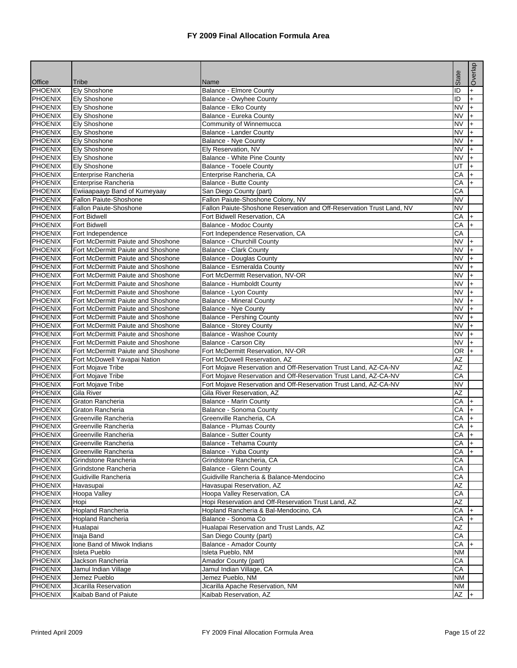|                                  |                                                                          |                                                                       |                        | Overlap            |
|----------------------------------|--------------------------------------------------------------------------|-----------------------------------------------------------------------|------------------------|--------------------|
| <b>Office</b>                    | Tribe                                                                    | Name                                                                  | State                  |                    |
| <b>PHOENIX</b>                   | <b>Ely Shoshone</b>                                                      | <b>Balance - Elmore County</b>                                        | ID                     | $+$                |
| <b>PHOENIX</b>                   | Ely Shoshone                                                             | Balance - Owyhee County                                               | ID                     | $\ddot{}$          |
| <b>PHOENIX</b>                   | Elv Shoshone                                                             | Balance - Elko County                                                 | <b>NV</b>              | $+$                |
| <b>PHOENIX</b>                   | <b>Ely Shoshone</b>                                                      | Balance - Eureka County                                               | <b>NV</b>              | l+                 |
| <b>PHOENIX</b>                   | Ely Shoshone                                                             | Community of Winnemucca                                               | <b>NV</b>              | $\ddot{}$          |
| <b>PHOENIX</b>                   | <b>Ely Shoshone</b>                                                      | <b>Balance - Lander County</b>                                        | <b>NV</b>              | $\ddot{}$          |
| <b>PHOENIX</b>                   | <b>Ely Shoshone</b>                                                      | <b>Balance - Nye County</b>                                           | <b>NV</b>              | $+$                |
| <b>PHOENIX</b>                   | Ely Shoshone                                                             | Ely Reservation, NV                                                   | <b>NV</b>              | $+$                |
| <b>PHOENIX</b>                   | Ely Shoshone                                                             | Balance - White Pine County                                           | <b>NV</b>              | $\ddot{}$          |
| <b>PHOENIX</b>                   | <b>Ely Shoshone</b>                                                      | <b>Balance - Tooele County</b>                                        | UT                     | $+$                |
| <b>PHOENIX</b>                   | Enterprise Rancheria                                                     | Enterprise Rancheria, CA                                              | CA                     | $+$                |
| <b>PHOENIX</b>                   | Enterprise Rancheria                                                     | Balance - Butte County                                                | CA                     | $\ddot{}$          |
| <b>PHOENIX</b>                   | Ewiiaapaayp Band of Kumeyaay                                             | San Diego County (part)                                               | CA                     |                    |
| <b>PHOENIX</b>                   | Fallon Paiute-Shoshone                                                   | Fallon Paiute-Shoshone Colony, NV                                     | <b>NV</b>              |                    |
| <b>PHOENIX</b>                   | Fallon Paiute-Shoshone                                                   | Fallon Paiute-Shoshone Reservation and Off-Reservation Trust Land, NV | <b>NV</b>              |                    |
| <b>PHOENIX</b>                   | Fort Bidwell                                                             | Fort Bidwell Reservation, CA                                          | CA                     | $+$                |
| <b>PHOENIX</b>                   | <b>Fort Bidwell</b>                                                      | Balance - Modoc County                                                | CA                     | $+$                |
| <b>PHOENIX</b>                   | Fort Independence                                                        | Fort Independence Reservation, CA                                     | CA                     |                    |
| <b>PHOENIX</b>                   | Fort McDermitt Paiute and Shoshone                                       | <b>Balance - Churchill County</b>                                     | <b>NV</b>              | $+$                |
| <b>PHOENIX</b>                   | Fort McDermitt Paiute and Shoshone                                       | <b>Balance - Clark County</b>                                         | <b>NV</b>              | $+$                |
| <b>PHOENIX</b>                   | Fort McDermitt Paiute and Shoshone                                       | <b>Balance - Douglas County</b>                                       | <b>NV</b>              | $+$                |
| <b>PHOENIX</b>                   | Fort McDermitt Paiute and Shoshone<br>Fort McDermitt Paiute and Shoshone | Balance - Esmeralda County<br>Fort McDermitt Reservation, NV-OR       | <b>NV</b>              | $+$                |
| <b>PHOENIX</b><br><b>PHOENIX</b> | Fort McDermitt Paiute and Shoshone                                       |                                                                       | <b>NV</b><br><b>NV</b> | $+$                |
|                                  |                                                                          | Balance - Humboldt County                                             |                        | $\ddot{}$          |
| <b>PHOENIX</b><br><b>PHOENIX</b> | Fort McDermitt Paiute and Shoshone<br>Fort McDermitt Paiute and Shoshone | Balance - Lyon County<br><b>Balance - Mineral County</b>              | <b>NV</b><br><b>NV</b> | $+$<br>$+$         |
| <b>PHOENIX</b>                   | Fort McDermitt Paiute and Shoshone                                       | <b>Balance - Nye County</b>                                           | <b>NV</b>              |                    |
| <b>PHOENIX</b>                   | Fort McDermitt Paiute and Shoshone                                       | <b>Balance - Pershing County</b>                                      | <b>NV</b>              | $\ddot{}$          |
| <b>PHOENIX</b>                   | Fort McDermitt Paiute and Shoshone                                       | <b>Balance - Storey County</b>                                        | <b>NV</b>              | $+$<br>$+$         |
| <b>PHOENIX</b>                   | Fort McDermitt Paiute and Shoshone                                       | Balance - Washoe County                                               | <b>NV</b>              | $\ddot{}$          |
| <b>PHOENIX</b>                   | Fort McDermitt Paiute and Shoshone                                       | Balance - Carson City                                                 | <b>NV</b>              | $\ddot{}$          |
| <b>PHOENIX</b>                   | Fort McDermitt Paiute and Shoshone                                       | Fort McDermitt Reservation, NV-OR                                     | <b>OR</b>              | $+$                |
| <b>PHOENIX</b>                   | Fort McDowell Yavapai Nation                                             | Fort McDowell Reservation, AZ                                         | AZ                     |                    |
| <b>PHOENIX</b>                   | Fort Mojave Tribe                                                        | Fort Mojave Reservation and Off-Reservation Trust Land, AZ-CA-NV      | <b>AZ</b>              |                    |
| <b>PHOENIX</b>                   | Fort Mojave Tribe                                                        | Fort Mojave Reservation and Off-Reservation Trust Land, AZ-CA-NV      | CA                     |                    |
| <b>PHOENIX</b>                   | Fort Mojave Tribe                                                        | Fort Mojave Reservation and Off-Reservation Trust Land, AZ-CA-NV      | <b>NV</b>              |                    |
| <b>PHOENIX</b>                   | Gila River                                                               | Gila River Reservation, AZ                                            | AZ                     |                    |
| <b>PHOENIX</b>                   | Graton Rancheria                                                         | <b>Balance - Marin County</b>                                         | CA                     | $+$                |
| <b>PHOENIX</b>                   | Graton Rancheria                                                         | Balance - Sonoma County                                               | СA                     | $+$                |
| <b>PHOENIX</b>                   | Greenville Rancheria                                                     | Greenville Rancheria. CA                                              | CA                     | $+$                |
| PHOENIX                          | Greenville Rancheria                                                     | <b>Balance - Plumas County</b>                                        | CA                     | $+$                |
| <b>PHOENIX</b>                   | Greenville Rancheria                                                     | <b>Balance - Sutter County</b>                                        | CA                     | $\left  + \right $ |
| <b>PHOENIX</b>                   | Greenville Rancheria                                                     | Balance - Tehama County                                               | CA                     | $ +$               |
| <b>PHOENIX</b>                   | Greenville Rancheria                                                     | Balance - Yuba County                                                 | CA                     | $+$                |
| <b>PHOENIX</b>                   | Grindstone Rancheria                                                     | Grindstone Rancheria, CA                                              | СA                     |                    |
| <b>PHOENIX</b>                   | Grindstone Rancheria                                                     | Balance - Glenn County                                                | CA                     |                    |
| <b>PHOENIX</b>                   | Guidiville Rancheria                                                     | Guidiville Rancheria & Balance-Mendocino                              | CA                     |                    |
| <b>PHOENIX</b>                   | Havasupai                                                                | Havasupai Reservation, AZ                                             | AZ                     |                    |
| <b>PHOENIX</b>                   | Hoopa Valley                                                             | Hoopa Valley Reservation, CA                                          | CA                     |                    |
| <b>PHOENIX</b>                   | Hopi                                                                     | Hopi Reservation and Off-Reservation Trust Land, AZ                   | AZ                     |                    |
| PHOENIX                          | <b>Hopland Rancheria</b>                                                 | Hopland Rancheria & Bal-Mendocino, CA                                 | CA                     |                    |
| <b>PHOENIX</b>                   | <b>Hopland Rancheria</b>                                                 | Balance - Sonoma Co                                                   | CA                     |                    |
| <b>PHOENIX</b>                   | Hualapai                                                                 | Hualapai Reservation and Trust Lands, AZ                              | AZ                     |                    |
| PHOENIX                          | Inaja Band                                                               | San Diego County (part)                                               | СA                     |                    |
| PHOENIX                          | Ione Band of Miwok Indians                                               | <b>Balance - Amador County</b>                                        | CA                     |                    |
| <b>PHOENIX</b>                   | <b>Isleta Pueblo</b>                                                     | Isleta Pueblo, NM                                                     | <b>NM</b>              |                    |
| <b>PHOENIX</b>                   | Jackson Rancheria                                                        | Amador County (part)                                                  | CA                     |                    |
| <b>PHOENIX</b>                   | Jamul Indian Village                                                     | Jamul Indian Village, CA                                              | CA                     |                    |
| <b>PHOENIX</b>                   | Jemez Pueblo                                                             | Jemez Pueblo, NM                                                      | <b>NM</b>              |                    |
| <b>PHOENIX</b>                   | Jicarilla Reservation                                                    | Jicarilla Apache Reservation, NM                                      | ΝM                     |                    |
| <b>PHOENIX</b>                   | Kaibab Band of Paiute                                                    | Kaibab Reservation, AZ                                                | AZ                     |                    |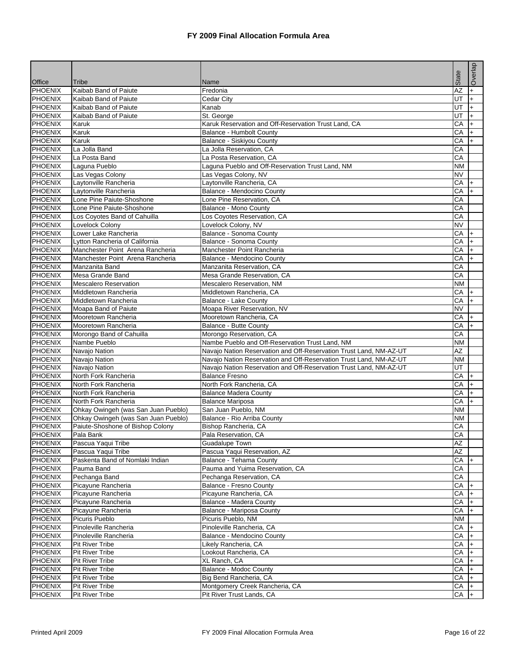|                                  |                                                |                                                                                             |                        | Overlap          |
|----------------------------------|------------------------------------------------|---------------------------------------------------------------------------------------------|------------------------|------------------|
|                                  |                                                |                                                                                             | State                  |                  |
| <b>Office</b>                    | Tribe                                          | Name                                                                                        |                        |                  |
| <b>PHOENIX</b><br><b>PHOENIX</b> | Kaibab Band of Paiute<br>Kaibab Band of Paiute | Fredonia                                                                                    | $\overline{AZ}$<br>UT  | $+$<br>$\ddot{}$ |
| <b>PHOENIX</b>                   | Kaibab Band of Paiute                          | Cedar City<br>Kanab                                                                         | UT                     | $+$              |
| <b>PHOENIX</b>                   | Kaibab Band of Paiute                          | St. George                                                                                  | UT                     | $+$              |
| <b>PHOENIX</b>                   | Karuk                                          | Karuk Reservation and Off-Reservation Trust Land, CA                                        | CA                     | $\ddot{}$        |
| <b>PHOENIX</b>                   | Karuk                                          | <b>Balance - Humbolt County</b>                                                             | CA                     | $+$              |
| <b>PHOENIX</b>                   | Karuk                                          | Balance - Siskiyou County                                                                   | CA                     | $+$              |
| <b>PHOENIX</b>                   | La Jolla Band                                  | La Jolla Reservation, CA                                                                    | CA                     |                  |
| <b>PHOENIX</b>                   | La Posta Band                                  | La Posta Reservation, CA                                                                    | CA                     |                  |
| <b>PHOENIX</b>                   | Laguna Pueblo                                  | Laguna Pueblo and Off-Reservation Trust Land, NM                                            | <b>NM</b>              |                  |
| <b>PHOENIX</b>                   | Las Vegas Colony                               | Las Vegas Colony, NV                                                                        | $\overline{\text{NV}}$ |                  |
| <b>PHOENIX</b>                   | Laytonville Rancheria                          | Laytonville Rancheria, CA                                                                   | CA                     | $\ddot{}$        |
| <b>PHOENIX</b>                   | Laytonville Rancheria                          | Balance - Mendocino County                                                                  | CA                     | $+$              |
| <b>PHOENIX</b>                   | Lone Pine Paiute-Shoshone                      | Lone Pine Reservation, CA                                                                   | CA                     |                  |
| <b>PHOENIX</b>                   | Lone Pine Paiute-Shoshone                      | Balance - Mono County                                                                       | CA                     |                  |
| <b>PHOENIX</b>                   | Los Coyotes Band of Cahuilla                   | Los Coyotes Reservation, CA                                                                 | CA                     |                  |
| <b>PHOENIX</b>                   | Lovelock Colony                                | Lovelock Colony, NV                                                                         | <b>NV</b>              |                  |
| <b>PHOENIX</b>                   | Lower Lake Rancheria                           | Balance - Sonoma County                                                                     | CA                     | +                |
| <b>PHOENIX</b>                   | Lytton Rancheria of California                 | Balance - Sonoma County                                                                     | CA                     | $\ddot{}$        |
| <b>PHOENIX</b>                   | Manchester Point Arena Rancheria               | Manchester Point Rancheria                                                                  | СA                     | $+$              |
| <b>PHOENIX</b>                   | Manchester Point Arena Rancheria               | Balance - Mendocino County                                                                  | CA                     | $+$              |
| <b>PHOENIX</b>                   | Manzanita Band                                 | Manzanita Reservation, CA                                                                   | CA                     |                  |
| <b>PHOENIX</b>                   | Mesa Grande Band                               | Mesa Grande Reservation, CA                                                                 | CA                     |                  |
| <b>PHOENIX</b>                   | <b>Mescalero Reservation</b>                   | Mescalero Reservation, NM                                                                   | <b>NM</b>              |                  |
| <b>PHOENIX</b>                   | Middletown Rancheria                           | Middletown Rancheria, CA                                                                    | CA                     | $\ddot{}$        |
| <b>PHOENIX</b>                   | Middletown Rancheria                           | Balance - Lake County                                                                       | CA                     | $+$              |
| <b>PHOENIX</b>                   | Moapa Band of Paiute                           | Moapa River Reservation, NV                                                                 | <b>NV</b>              |                  |
| <b>PHOENIX</b>                   | Mooretown Rancheria                            | Mooretown Rancheria, CA                                                                     | CA                     | $\ddot{}$        |
| <b>PHOENIX</b>                   | Mooretown Rancheria                            | <b>Balance - Butte County</b>                                                               | CA                     | $+$              |
| <b>PHOENIX</b>                   | Morongo Band of Cahuilla                       | Morongo Reservation, CA                                                                     | CA                     |                  |
| <b>PHOENIX</b>                   | Nambe Pueblo                                   | Nambe Pueblo and Off-Reservation Trust Land, NM                                             | <b>NM</b>              |                  |
| <b>PHOENIX</b>                   | Navajo Nation                                  | Navajo Nation Reservation and Off-Reservation Trust Land, NM-AZ-UT                          | AZ                     |                  |
| <b>PHOENIX</b>                   | Navajo Nation                                  | Navajo Nation Reservation and Off-Reservation Trust Land, NM-AZ-UT                          | <b>NM</b>              |                  |
| <b>PHOENIX</b><br><b>PHOENIX</b> | Navajo Nation<br>North Fork Rancheria          | Navajo Nation Reservation and Off-Reservation Trust Land, NM-AZ-UT<br><b>Balance Fresno</b> | UT<br>СA               |                  |
| <b>PHOENIX</b>                   | North Fork Rancheria                           | North Fork Rancheria, CA                                                                    | CA                     | $+$<br>$\ddot{}$ |
| <b>PHOENIX</b>                   | North Fork Rancheria                           | <b>Balance Madera County</b>                                                                | CA                     | $+$              |
| <b>PHOENIX</b>                   | North Fork Rancheria                           | <b>Balance Mariposa</b>                                                                     | СA                     | $+$              |
| <b>PHOENIX</b>                   | Ohkay Owingeh (was San Juan Pueblo)            | San Juan Pueblo, NM                                                                         | <b>NM</b>              |                  |
| <b>PHOENIX</b>                   | Ohkay Owingeh (was San Juan Pueblo)            | Balance - Rio Arriba County                                                                 | <b>NM</b>              |                  |
| PHOENIX                          | Paiute-Shoshone of Bishop Colony               | Bishop Rancheria, CA                                                                        | CA                     |                  |
| PHOENIX                          | Pala Bank                                      | Pala Reservation, CA                                                                        | CA                     |                  |
| <b>PHOENIX</b>                   | Pascua Yaqui Tribe                             | Guadalupe Town                                                                              | AZ                     |                  |
| <b>PHOENIX</b>                   | Pascua Yaqui Tribe                             | Pascua Yaqui Reservation, AZ                                                                | AZ                     |                  |
| <b>PHOENIX</b>                   | Paskenta Band of Nomlaki Indian                | Balance - Tehama County                                                                     | CA                     | $+$              |
| <b>PHOENIX</b>                   | Pauma Band                                     | Pauma and Yuima Reservation, CA                                                             | CA                     |                  |
| <b>PHOENIX</b>                   | Pechanga Band                                  | Pechanga Reservation, CA                                                                    | CA                     |                  |
| <b>PHOENIX</b>                   | Picayune Rancheria                             | Balance - Fresno County                                                                     | CA                     | l+               |
| <b>PHOENIX</b>                   | Picayune Rancheria                             | Picayune Rancheria, CA                                                                      | CA                     | $+$              |
| <b>PHOENIX</b>                   | Picayune Rancheria                             | Balance - Madera County                                                                     | CA                     | $+$              |
| <b>PHOENIX</b>                   | Picayune Rancheria                             | Balance - Mariposa County                                                                   | CA                     | l+               |
| <b>PHOENIX</b>                   | Picuris Pueblo                                 | Picuris Pueblo, NM                                                                          | <b>NM</b>              |                  |
| <b>PHOENIX</b>                   | Pinoleville Rancheria                          | Pinoleville Rancheria, CA                                                                   | CA                     | $\ddot{}$        |
| <b>PHOENIX</b>                   | Pinoleville Rancheria                          | Balance - Mendocino County                                                                  | CA                     | l+               |
| <b>PHOENIX</b>                   | <b>Pit River Tribe</b>                         | Likely Rancheria, CA                                                                        | CA                     | $+$              |
| <b>PHOENIX</b>                   | Pit River Tribe                                | Lookout Rancheria, CA                                                                       | CA                     | $+$              |
| <b>PHOENIX</b>                   | Pit River Tribe                                | XL Ranch, CA                                                                                | CA                     | $+$              |
| <b>PHOENIX</b>                   | <b>Pit River Tribe</b>                         | Balance - Modoc County                                                                      | CA                     | $+$              |
| <b>PHOENIX</b>                   | Pit River Tribe                                | Big Bend Rancheria, CA                                                                      | CA                     | $+$              |
| <b>PHOENIX</b>                   | Pit River Tribe                                | Montgomery Creek Rancheria, CA                                                              | CA                     | $ + $            |
| <b>PHOENIX</b>                   | Pit River Tribe                                | Pit River Trust Lands, CA                                                                   | CA                     |                  |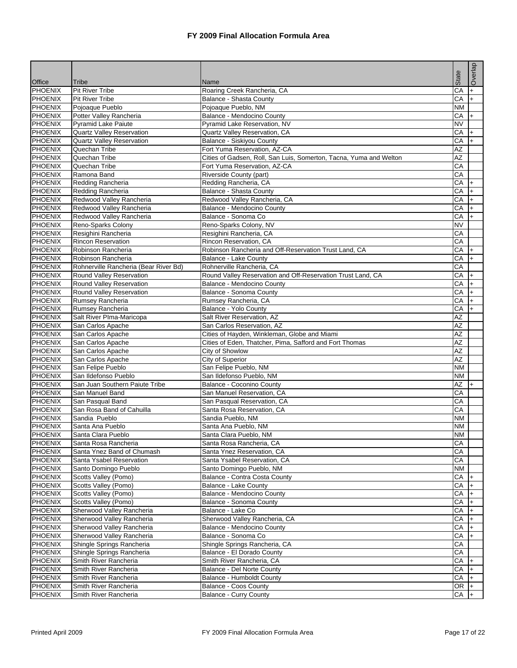|                           |                                                         |                                                                    | State                  | Overlap          |
|---------------------------|---------------------------------------------------------|--------------------------------------------------------------------|------------------------|------------------|
| <b>Office</b>             | <b>Tribe</b>                                            | Name                                                               |                        |                  |
| <b>PHOENIX</b>            | Pit River Tribe                                         | Roaring Creek Rancheria, CA                                        | CA                     | $+$              |
| <b>PHOENIX</b>            | <b>Pit River Tribe</b>                                  | Balance - Shasta County                                            | CA                     | $\ddot{}$        |
| <b>PHOENIX</b>            | Pojoaque Pueblo                                         | Pojoaque Pueblo, NM                                                | <b>NM</b>              |                  |
| <b>PHOENIX</b>            | Potter Valley Rancheria                                 | Balance - Mendocino County<br>Pyramid Lake Reservation, NV         | CA                     | $\ddot{}$        |
| <b>PHOENIX</b><br>PHOENIX | Pyramid Lake Paiute<br><b>Quartz Valley Reservation</b> | Quartz Valley Reservation, CA                                      | <b>NV</b><br>CA        |                  |
| <b>PHOENIX</b>            | <b>Quartz Valley Reservation</b>                        | Balance - Siskiyou County                                          | СA                     | $\ddot{}$<br>$+$ |
| <b>PHOENIX</b>            | Quechan Tribe                                           | Fort Yuma Reservation, AZ-CA                                       | AZ                     |                  |
| <b>PHOENIX</b>            | Quechan Tribe                                           | Cities of Gadsen, Roll, San Luis, Somerton, Tacna, Yuma and Welton | AZ                     |                  |
| <b>PHOENIX</b>            | Quechan Tribe                                           | Fort Yuma Reservation, AZ-CA                                       | CA                     |                  |
| <b>PHOENIX</b>            | Ramona Band                                             | Riverside County (part)                                            | CA                     |                  |
| <b>PHOENIX</b>            | Redding Rancheria                                       | Redding Rancheria, CA                                              | CA                     | $\ddot{}$        |
| <b>PHOENIX</b>            | Redding Rancheria                                       | Balance - Shasta County                                            | CA                     | $+$              |
| <b>PHOENIX</b>            | Redwood Valley Rancheria                                | Redwood Valley Rancheria, CA                                       | CA                     | $+$              |
| <b>PHOENIX</b>            | Redwood Valley Rancheria                                | Balance - Mendocino County                                         | CA                     | $+$              |
| <b>PHOENIX</b>            | Redwood Valley Rancheria                                | Balance - Sonoma Co                                                | CA                     | $+$              |
| <b>PHOENIX</b>            | Reno-Sparks Colony                                      | Reno-Sparks Colony, NV                                             | <b>NV</b>              |                  |
| <b>PHOENIX</b>            | Resighini Rancheria                                     | Resighini Rancheria, CA                                            | CA                     |                  |
| PHOENIX                   | <b>Rincon Reservation</b>                               | Rincon Reservation, CA                                             | CA                     |                  |
| <b>PHOENIX</b>            | Robinson Rancheria                                      | Robinson Rancheria and Off-Reservation Trust Land, CA              | CA                     | $\ddot{}$        |
| <b>PHOENIX</b>            | Robinson Rancheria                                      | Balance - Lake County                                              | CA                     | $\ddot{}$        |
| <b>PHOENIX</b>            | Rohnerville Rancheria (Bear River Bd)                   | Rohnerville Rancheria, CA                                          | CA                     |                  |
| <b>PHOENIX</b>            | Round Valley Reservation                                | Round Valley Reservation and Off-Reservation Trust Land, CA        | CA                     | $\ddot{}$        |
| <b>PHOENIX</b>            | Round Valley Reservation                                | Balance - Mendocino County                                         | CA                     | $\ddot{}$        |
| <b>PHOENIX</b>            | Round Valley Reservation                                | Balance - Sonoma County                                            | CA                     | $+$              |
| <b>PHOENIX</b>            | Rumsey Rancheria                                        | Rumsey Rancheria, CA                                               | CA                     | $\ddot{}$        |
| <b>PHOENIX</b>            | Rumsey Rancheria                                        | Balance - Yolo County                                              | CA                     | $\ddot{}$        |
| <b>PHOENIX</b>            | Salt River PIma-Maricopa                                | Salt River Reservation, AZ                                         | AZ                     |                  |
| <b>PHOENIX</b>            | San Carlos Apache                                       | San Carlos Reservation, AZ                                         | <b>AZ</b>              |                  |
| <b>PHOENIX</b>            | San Carlos Apache                                       | Cities of Hayden, Winkleman, Globe and Miami                       | AZ                     |                  |
| <b>PHOENIX</b>            | San Carlos Apache                                       | Cities of Eden, Thatcher, Pima, Safford and Fort Thomas            | $\overline{AZ}$        |                  |
| <b>PHOENIX</b>            | San Carlos Apache                                       | City of Showlow                                                    | $\overline{AZ}$        |                  |
| <b>PHOENIX</b>            | San Carlos Apache                                       | City of Superior                                                   | AZ                     |                  |
| PHOENIX                   | San Felipe Pueblo                                       | San Felipe Pueblo, NM                                              | <b>NM</b>              |                  |
| <b>PHOENIX</b>            | San Ildefonso Pueblo                                    | San Ildefonso Pueblo, NM                                           | <b>NM</b>              |                  |
| <b>PHOENIX</b>            | San Juan Southern Paiute Tribe                          | <b>Balance - Coconino County</b>                                   | AZ                     |                  |
| <b>PHOENIX</b>            | San Manuel Band                                         | San Manuel Reservation, CA                                         | CA                     |                  |
| <b>PHOENIX</b>            | San Pasqual Band                                        | San Pasqual Reservation, CA                                        | CA                     |                  |
| <b>PHOENIX</b>            | San Rosa Band of Cahuilla                               | Santa Rosa Reservation, CA                                         | СA                     |                  |
| <b>PHOENIX</b>            | Sandia Pueblo                                           | Sandia Pueblo, NM                                                  | <b>NM</b>              |                  |
| <b>PHOENIX</b>            | Santa Ana Pueblo                                        | Santa Ana Pueblo, NM                                               | <b>NM</b>              |                  |
| <b>PHOENIX</b>            | Santa Clara Pueblo                                      | Santa Clara Pueblo, NM                                             | <b>NM</b>              |                  |
| <b>PHOENIX</b>            | Santa Rosa Rancheria                                    | Santa Rosa Rancheria, CA                                           | CA                     |                  |
| <b>PHOENIX</b>            | Santa Ynez Band of Chumash                              | Santa Ynez Reservation, CA                                         | CA                     |                  |
| <b>PHOENIX</b>            | Santa Ysabel Reservation                                | Santa Ysabel Reservation, CA                                       | CA                     |                  |
| PHOENIX                   | Santo Domingo Pueblo                                    | Santo Domingo Pueblo, NM                                           | $\mathsf{N}\mathsf{M}$ |                  |
| <b>PHOENIX</b>            | Scotts Valley (Pomo)                                    | Balance - Contra Costa County                                      | CA                     | $+$              |
| <b>PHOENIX</b>            | Scotts Valley (Pomo)                                    | Balance - Lake County                                              | CA                     | $+$              |
| <b>PHOENIX</b>            | Scotts Valley (Pomo)                                    | Balance - Mendocino County                                         | CA                     | $+$              |
| <b>PHOENIX</b>            | Scotts Valley (Pomo)                                    | Balance - Sonoma County                                            | CA                     | $+$              |
| <b>PHOENIX</b>            | Sherwood Valley Rancheria                               | Balance - Lake Co                                                  | CA                     | $+$              |
| <b>PHOENIX</b>            | Sherwood Valley Rancheria                               | Sherwood Valley Rancheria, CA                                      | CA                     | $+$              |
| <b>PHOENIX</b>            | Sherwood Valley Rancheria                               | Balance - Mendocino County                                         | CA                     | $+$              |
| <b>PHOENIX</b>            | Sherwood Valley Rancheria                               | Balance - Sonoma Co                                                | CA                     | $+$              |
| PHOENIX                   | Shingle Springs Rancheria                               | Shingle Springs Rancheria, CA                                      | CA                     |                  |
| <b>PHOENIX</b>            | Shingle Springs Rancheria                               | Balance - El Dorado County                                         | CA                     |                  |
| <b>PHOENIX</b>            | Smith River Rancheria                                   | Smith River Rancheria, CA                                          | CA                     | $+$              |
| PHOENIX                   | Smith River Rancheria                                   | Balance - Del Norte County                                         | CA                     | $\ddot{}$        |
| <b>PHOENIX</b>            | Smith River Rancheria                                   | Balance - Humboldt County                                          | CA                     | $+$              |
| <b>PHOENIX</b>            | Smith River Rancheria                                   | <b>Balance - Coos County</b>                                       | $OR +$                 |                  |
| <b>PHOENIX</b>            | Smith River Rancheria                                   | Balance - Curry County                                             | CA                     |                  |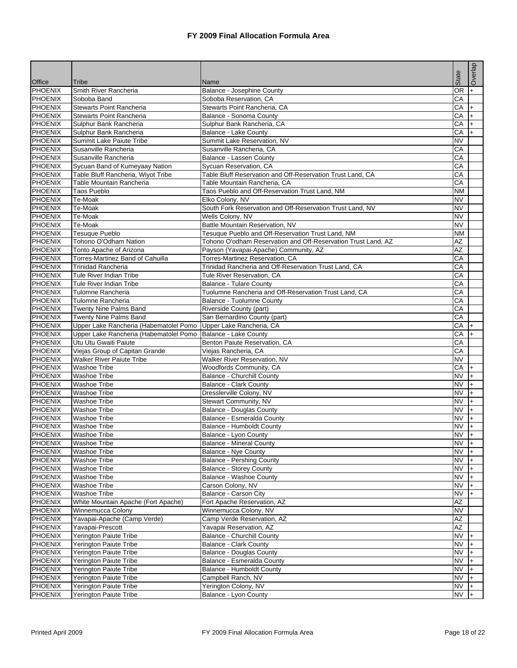|                                  |                                                  |                                                                  | State                  | Overlap   |
|----------------------------------|--------------------------------------------------|------------------------------------------------------------------|------------------------|-----------|
| <b>Office</b><br><b>PHOENIX</b>  | Tribe                                            | Name                                                             | <b>OR</b>              |           |
| <b>PHOENIX</b>                   | Smith River Rancheria<br>Soboba Band             | Balance - Josephine County<br>Soboba Reservation, CA             | CA                     | $\ddot{}$ |
| <b>PHOENIX</b>                   | Stewarts Point Rancheria                         | Stewarts Point Rancheria, CA                                     | CA                     | $+$       |
| <b>PHOENIX</b>                   | <b>Stewarts Point Rancheria</b>                  | Balance - Sonoma County                                          | СA                     | $+$       |
| <b>PHOENIX</b>                   | Sulphur Bank Rancheria                           | Sulphur Bank Rancheria, CA                                       | CA                     | $\ddot{}$ |
| <b>PHOENIX</b>                   | Sulphur Bank Rancheria                           | Balance - Lake County                                            | CA                     | $+$       |
| <b>PHOENIX</b>                   | Summit Lake Paiute Tribe                         | Summit Lake Reservation, NV                                      | <b>NV</b>              |           |
| <b>PHOENIX</b>                   | Susanville Rancheria                             | Susanville Rancheria, CA                                         | CA                     |           |
| <b>PHOENIX</b>                   | Susanville Rancheria                             | Balance - Lassen County                                          | CA                     |           |
| <b>PHOENIX</b>                   | Sycuan Band of Kumeyaay Nation                   | Sycuan Reservation, CA                                           | CA                     |           |
| <b>PHOENIX</b>                   | Table Bluff Rancheria, Wiyot Tribe               | Table Bluff Reservation and Off-Reservation Trust Land, CA       | CA                     |           |
| <b>PHOENIX</b>                   | Table Mountain Rancheria                         | Table Mountain Rancheria, CA                                     | CA                     |           |
| <b>PHOENIX</b>                   | <b>Taos Pueblo</b>                               | Taos Pueblo and Off-Reservation Trust Land, NM                   | <b>NM</b>              |           |
| <b>PHOENIX</b>                   | Te-Moak                                          | Elko Colony, NV                                                  | <b>NV</b>              |           |
| <b>PHOENIX</b>                   | Te-Moak                                          | South Fork Reservation and Off-Reservation Trust Land, NV        | <b>NV</b>              |           |
| <b>PHOENIX</b>                   | Te-Moak                                          | Wells Colony, NV                                                 | <b>NV</b>              |           |
| <b>PHOENIX</b>                   | Te-Moak                                          | Battle Mountain Reservation, NV                                  | <b>NV</b>              |           |
| <b>PHOENIX</b>                   | <b>Tesuque Pueblo</b>                            | Tesuque Pueblo and Off-Reservation Trust Land, NM                | <b>NM</b>              |           |
| <b>PHOENIX</b>                   | Tohono O'Odham Nation                            | Tohono O'odham Reservation and Off-Reservation Trust Land, AZ    | AZ                     |           |
| <b>PHOENIX</b>                   | Tonto Apache of Arizona                          | Payson (Yavapai-Apache) Community, AZ                            | $\overline{AZ}$        |           |
| <b>PHOENIX</b>                   | Torres-Martinez Band of Cahuilla                 | Torres-Martinez Reservation, CA                                  | CA                     |           |
| <b>PHOENIX</b>                   | <b>Trinidad Rancheria</b>                        | Trinidad Rancheria and Off-Reservation Trust Land, CA            | CA                     |           |
| <b>PHOENIX</b>                   | Tule River Indian Tribe                          | Tule River Reservation, CA                                       | CA                     |           |
| <b>PHOENIX</b>                   | Tule River Indian Tribe                          | <b>Balance - Tulare County</b>                                   | CA                     |           |
| <b>PHOENIX</b>                   | Tulomne Rancheria                                | Tuolumne Rancheria and Off-Reservation Trust Land, CA            | CA                     |           |
| <b>PHOENIX</b>                   | Tulomne Rancheria                                | <b>Balance - Tuolumne County</b>                                 | CA                     |           |
| <b>PHOENIX</b>                   | Twenty Nine Palms Band                           | Riverside County (part)                                          | CA                     |           |
| <b>PHOENIX</b>                   | Twenty Nine Palms Band                           | San Bernardino County (part)                                     | CA                     |           |
| <b>PHOENIX</b>                   | Upper Lake Rancheria (Habematolel Pomo           | Upper Lake Rancheria, CA                                         | CA                     | $+$       |
| <b>PHOENIX</b>                   | Upper Lake Rancheria (Habematolel Pomo           | Balance - Lake County                                            | CA                     | $\ddot{}$ |
| <b>PHOENIX</b>                   | Utu Utu Gwaiti Paiute                            | Benton Paiute Reservation, CA                                    | CA                     |           |
| <b>PHOENIX</b>                   | Viejas Group of Capitan Grande                   | Viejas Rancheria, CA                                             | CA                     |           |
| <b>PHOENIX</b>                   | <b>Walker River Paiute Tribe</b>                 | Walker River Reservation, NV                                     | <b>NV</b>              |           |
| <b>PHOENIX</b>                   | <b>Washoe Tribe</b>                              | Woodfords Community, CA                                          | CA                     | $\ddot{}$ |
| <b>PHOENIX</b>                   | Washoe Tribe                                     | <b>Balance - Churchill County</b>                                | <b>NV</b>              | $+$       |
| <b>PHOENIX</b>                   | <b>Washoe Tribe</b>                              | <b>Balance - Clark County</b>                                    | <b>NV</b>              | $+$       |
| <b>PHOENIX</b>                   | <b>Washoe Tribe</b>                              | Dresslerville Colony, NV                                         | <b>NV</b>              | $+$       |
| <b>PHOENIX</b>                   | <b>Washoe Tribe</b>                              | Stewart Community, NV                                            | <b>NV</b>              | $+$       |
| PHOENIX                          | Washoe Tribe                                     | <b>Balance - Douglas County</b>                                  | <b>NV</b>              | $\ddot{}$ |
| <b>PHOENIX</b>                   | <b>Washoe Tribe</b>                              | Balance - Esmeralda County                                       | <b>NV</b>              | $+$       |
| PHOENIX                          | <b>Washoe Tribe</b>                              | <b>Balance - Humboldt County</b>                                 | NV                     | $+$       |
| <b>PHOENIX</b>                   | <b>Washoe Tribe</b>                              | Balance - Lvon County                                            | <b>NV</b>              | $+$       |
| <b>PHOENIX</b>                   | <b>Washoe Tribe</b>                              | <b>Balance - Mineral County</b>                                  | <b>NV</b>              | $+$       |
| <b>PHOENIX</b>                   | <b>Washoe Tribe</b>                              | <b>Balance - Nye County</b>                                      | <b>NV</b>              | I+.       |
| <b>PHOENIX</b>                   | <b>Washoe Tribe</b>                              | <b>Balance - Pershing County</b>                                 | <b>NV</b>              | $+$       |
| <b>PHOENIX</b>                   | <b>Washoe Tribe</b>                              | <b>Balance - Storey County</b>                                   | <b>NV</b>              | $+$       |
| <b>PHOENIX</b>                   | <b>Washoe Tribe</b>                              | Balance - Washoe County                                          | <b>NV</b>              | $+$       |
| <b>PHOENIX</b>                   | <b>Washoe Tribe</b>                              | Carson Colony, NV                                                | <b>NV</b>              | $+$       |
| <b>PHOENIX</b>                   | <b>Washoe Tribe</b>                              | Balance - Carson City                                            | <b>NV</b>              |           |
| <b>PHOENIX</b>                   | White Mountain Apache (Fort Apache)              | Fort Apache Reservation, AZ                                      | AZ                     |           |
| PHOENIX                          | Winnemucca Colony                                | Winnemucca Colony, NV                                            | <b>NV</b>              |           |
| <b>PHOENIX</b>                   | Yavapai-Apache (Camp Verde)                      | Camp Verde Reservation, AZ                                       | AZ<br><b>AZ</b>        |           |
| <b>PHOENIX</b><br><b>PHOENIX</b> | Yavapai-Prescott<br>Yerington Paiute Tribe       | Yavapai Reservation, AZ<br><b>Balance - Churchill County</b>     | <b>NV</b>              |           |
|                                  |                                                  |                                                                  | $\overline{\text{NV}}$ | l+        |
| <b>PHOENIX</b><br><b>PHOENIX</b> | Yerington Paiute Tribe<br>Yerington Paiute Tribe | <b>Balance - Clark County</b><br><b>Balance - Douglas County</b> | <b>NV</b>              | $+$       |
| <b>PHOENIX</b>                   | Yerington Paiute Tribe                           | Balance - Esmeralda County                                       | <b>NV</b>              | $+$       |
| <b>PHOENIX</b>                   | Yerington Paiute Tribe                           | Balance - Humboldt County                                        | <b>NV</b>              | $\ddot{}$ |
| <b>PHOENIX</b>                   | Yerington Paiute Tribe                           | Campbell Ranch, NV                                               | <b>NV</b>              | $+$       |
| <b>PHOENIX</b>                   | Yerington Paiute Tribe                           | Yerington Colony, NV                                             | <b>NV</b>              |           |
| <b>PHOENIX</b>                   | Yerington Paiute Tribe                           | Balance - Lyon County                                            | <b>NV</b>              | $+$       |
|                                  |                                                  |                                                                  |                        |           |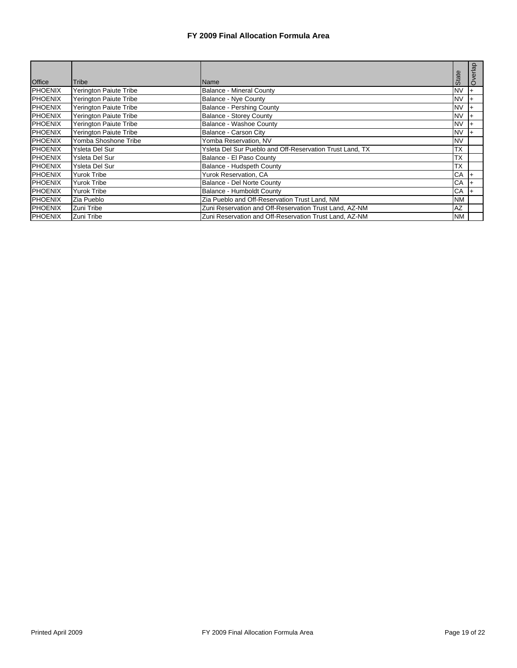|                |                        |                                                          |           | Overlap |
|----------------|------------------------|----------------------------------------------------------|-----------|---------|
| <b>Office</b>  | <b>Tribe</b>           | <b>Name</b>                                              | State     |         |
| <b>PHOENIX</b> | Yerington Paiute Tribe | <b>Balance - Mineral County</b>                          | <b>NV</b> |         |
| <b>PHOENIX</b> | Yerington Paiute Tribe | Balance - Nye County                                     | <b>NV</b> |         |
| <b>PHOENIX</b> | Yerington Paiute Tribe | <b>Balance - Pershing County</b>                         | <b>NV</b> |         |
| <b>PHOENIX</b> | Yerington Paiute Tribe | Balance - Storey County                                  | <b>NV</b> |         |
| <b>PHOENIX</b> | Yerington Paiute Tribe | Balance - Washoe County                                  | <b>NV</b> |         |
| <b>PHOENIX</b> | Yerington Paiute Tribe | Balance - Carson City                                    | <b>NV</b> |         |
| <b>PHOENIX</b> | Yomba Shoshone Tribe   | Yomba Reservation, NV                                    | <b>NV</b> |         |
| <b>PHOENIX</b> | Ysleta Del Sur         | Ysleta Del Sur Pueblo and Off-Reservation Trust Land, TX | <b>TX</b> |         |
| <b>PHOENIX</b> | Ysleta Del Sur         | Balance - El Paso County                                 | <b>TX</b> |         |
| <b>PHOENIX</b> | Ysleta Del Sur         | Balance - Hudspeth County                                | <b>TX</b> |         |
| <b>PHOENIX</b> | Yurok Tribe            | Yurok Reservation, CA                                    | CA        |         |
| <b>PHOENIX</b> | Yurok Tribe            | Balance - Del Norte County                               | CA        |         |
| <b>PHOENIX</b> | Yurok Tribe            | Balance - Humboldt County                                | CA        |         |
| <b>PHOENIX</b> | Zia Pueblo             | Zia Pueblo and Off-Reservation Trust Land, NM            | <b>NM</b> |         |
| <b>PHOENIX</b> | Zuni Tribe             | Zuni Reservation and Off-Reservation Trust Land, AZ-NM   | AZ        |         |
| <b>PHOENIX</b> | Zuni Tribe             | Zuni Reservation and Off-Reservation Trust Land, AZ-NM   | <b>NM</b> |         |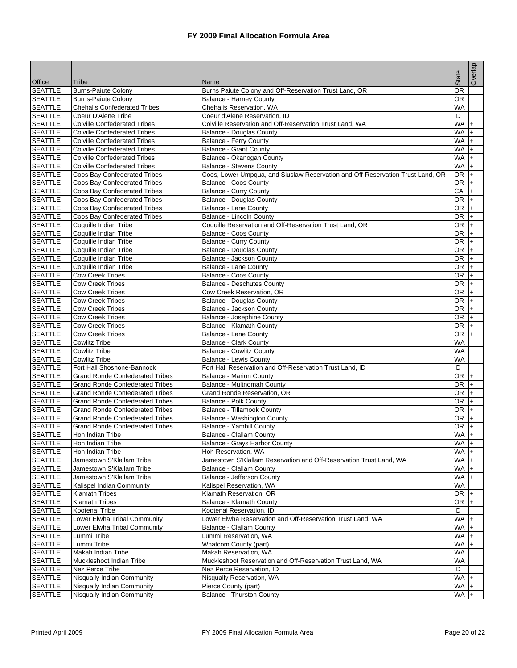| Office                           | Tribe                                                                            | Name                                                                           | State           | Overlap      |
|----------------------------------|----------------------------------------------------------------------------------|--------------------------------------------------------------------------------|-----------------|--------------|
| <b>SEATTLE</b>                   | <b>Burns-Paiute Colony</b>                                                       | Burns Paiute Colony and Off-Reservation Trust Land, OR                         | $\overline{OR}$ |              |
| <b>SEATTLE</b>                   | <b>Burns-Paiute Colony</b>                                                       | <b>Balance - Harney County</b>                                                 | <b>OR</b>       |              |
| <b>SEATTLE</b>                   | <b>Chehalis Confederated Tribes</b>                                              | Chehalis Reservation, WA                                                       | <b>WA</b>       |              |
| <b>SEATTLE</b>                   | Coeur D'Alene Tribe                                                              | Coeur d'Alene Reservation, ID                                                  | ID              |              |
| <b>SEATTLE</b>                   | <b>Colville Confederated Tribes</b>                                              | Colville Reservation and Off-Reservation Trust Land, WA                        | <b>WA</b>       |              |
| <b>SEATTLE</b>                   | <b>Colville Confederated Tribes</b>                                              | <b>Balance - Douglas County</b>                                                | <b>WA</b>       | $+$          |
| <b>SEATTLE</b>                   | <b>Colville Confederated Tribes</b>                                              | Balance - Ferry County                                                         | <b>WA</b>       | I+           |
| <b>SEATTLE</b>                   | <b>Colville Confederated Tribes</b>                                              | <b>Balance - Grant County</b>                                                  | <b>WA</b>       | $+$          |
| <b>SEATTLE</b>                   | <b>Colville Confederated Tribes</b>                                              | Balance - Okanogan County                                                      | <b>WA</b>       | $\ddot{}$    |
| <b>SEATTLE</b>                   | <b>Colville Confederated Tribes</b>                                              | <b>Balance - Stevens County</b>                                                | <b>WA</b>       | $+$          |
| <b>SEATTLE</b>                   | Coos Bay Confederated Tribes                                                     | Coos, Lower Umpqua, and Siuslaw Reservation and Off-Reservation Trust Land, OR | <b>OR</b>       | $+$          |
| <b>SEATTLE</b>                   | Coos Bay Confederated Tribes                                                     | <b>Balance - Coos County</b>                                                   | OR.             | $\ddot{}$    |
| <b>SEATTLE</b>                   | Coos Bay Confederated Tribes                                                     | <b>Balance - Curry County</b>                                                  | CA              | $+$          |
| <b>SEATTLE</b>                   | Coos Bay Confederated Tribes                                                     | <b>Balance - Douglas County</b>                                                | OR <sub>1</sub> | $ + $        |
| <b>SEATTLE</b>                   | Coos Bay Confederated Tribes                                                     | Balance - Lane County                                                          | OR              | $+$          |
| <b>SEATTLE</b>                   | Coos Bay Confederated Tribes                                                     | Balance - Lincoln County                                                       | <b>OR</b>       | l+           |
| <b>SEATTLE</b>                   | Coquille Indian Tribe                                                            | Coquille Reservation and Off-Reservation Trust Land, OR                        | OR <sub>1</sub> | $ + $        |
| <b>SEATTLE</b>                   | Coquille Indian Tribe                                                            | Balance - Coos County                                                          | <b>OR</b>       | $+$          |
| <b>SEATTLE</b>                   | Coquille Indian Tribe                                                            | <b>Balance - Curry County</b>                                                  | <b>OR</b>       | $+$          |
| <b>SEATTLE</b>                   | Coquille Indian Tribe                                                            | Balance - Douglas County                                                       | OR.             | $ + $        |
| <b>SEATTLE</b>                   | Coquille Indian Tribe                                                            | Balance - Jackson County                                                       | <b>OR</b>       | $\ddot{}$    |
| <b>SEATTLE</b>                   | Coquille Indian Tribe                                                            | Balance - Lane County                                                          | OR.             | $ + $        |
| <b>SEATTLE</b>                   | <b>Cow Creek Tribes</b>                                                          | <b>Balance - Coos County</b>                                                   | <b>OR</b>       | $ + $        |
| <b>SEATTLE</b>                   | <b>Cow Creek Tribes</b>                                                          | <b>Balance - Deschutes County</b>                                              | OR <sub>1</sub> | $+$          |
| <b>SEATTLE</b>                   | <b>Cow Creek Tribes</b>                                                          | Cow Creek Reservation, OR                                                      | <b>OR</b>       | l+           |
| <b>SEATTLE</b>                   | <b>Cow Creek Tribes</b>                                                          | <b>Balance - Douglas County</b>                                                | OR <sub>1</sub> | $+$          |
| <b>SEATTLE</b>                   | <b>Cow Creek Tribes</b>                                                          | Balance - Jackson County                                                       | OR.             | $ + $        |
| <b>SEATTLE</b>                   | <b>Cow Creek Tribes</b>                                                          | Balance - Josephine County                                                     | <b>OR</b>       | l+           |
| <b>SEATTLE</b>                   | <b>Cow Creek Tribes</b>                                                          | Balance - Klamath County                                                       | OR.             | $+$          |
| <b>SEATTLE</b>                   | <b>Cow Creek Tribes</b>                                                          | Balance - Lane County                                                          | OR.             | $\ddot{}$    |
| <b>SEATTLE</b>                   | <b>Cowlitz Tribe</b>                                                             | <b>Balance - Clark County</b>                                                  | <b>WA</b>       |              |
| <b>SEATTLE</b>                   | <b>Cowlitz Tribe</b>                                                             | <b>Balance - Cowlitz County</b>                                                | <b>WA</b>       |              |
| <b>SEATTLE</b>                   | <b>Cowlitz Tribe</b>                                                             | <b>Balance - Lewis County</b>                                                  | <b>WA</b>       |              |
| <b>SEATTLE</b>                   | Fort Hall Shoshone-Bannock                                                       | Fort Hall Reservation and Off-Reservation Trust Land, ID                       | ID              |              |
| <b>SEATTLE</b>                   | <b>Grand Ronde Confederated Tribes</b>                                           | <b>Balance - Marion County</b>                                                 | <b>OR</b>       | l+           |
| <b>SEATTLE</b>                   | <b>Grand Ronde Confederated Tribes</b>                                           | Balance - Multnomah County                                                     | OR.             | ŀ+           |
| <b>SEATTLE</b>                   | <b>Grand Ronde Confederated Tribes</b>                                           | Grand Ronde Reservation, OR                                                    | <b>OR</b>       | $+$          |
| <b>SEATTLE</b>                   | <b>Grand Ronde Confederated Tribes</b>                                           | Balance - Polk County                                                          | OR.             | $ + $        |
| <b>SEATTLE</b>                   | <b>Grand Ronde Confederated Tribes</b><br><b>Grand Ronde Confederated Tribes</b> | Balance - Tillamook County<br>Balance - Washington County                      | OR.<br>OR.      | $ + $<br>$+$ |
| <b>SEATTLE</b><br><b>SEATTLE</b> |                                                                                  |                                                                                |                 |              |
| <b>SEATTLE</b>                   | <b>Grand Ronde Confederated Tribes</b><br><b>Hoh Indian Tribe</b>                | Balance - Yamhill County<br>Balance - Clallam County                           | OR<br>$WA$ +    | $+$          |
|                                  |                                                                                  | Balance - Grays Harbor County                                                  | WA +            |              |
| <b>SEATTLE</b><br><b>SEATTLE</b> | Hoh Indian Tribe<br>Hoh Indian Tribe                                             | Hoh Reservation, WA                                                            | $WA +$          |              |
| <b>SEATTLE</b>                   | Jamestown S'Klallam Tribe                                                        | Jamestown S'Klallam Reservation and Off-Reservation Trust Land, WA             | $WA +$          |              |
| <b>SEATTLE</b>                   | Jamestown S'Klallam Tribe                                                        | Balance - Clallam County                                                       | $WA +$          |              |
| <b>SEATTLE</b>                   | Jamestown S'Klallam Tribe                                                        | Balance - Jefferson County                                                     | $WA +$          |              |
| <b>SEATTLE</b>                   | Kalispel Indian Community                                                        | Kalispel Reservation, WA                                                       | WA              |              |
| <b>SEATTLE</b>                   | <b>Klamath Tribes</b>                                                            | Klamath Reservation, OR                                                        | $OR +$          |              |
| <b>SEATTLE</b>                   | <b>Klamath Tribes</b>                                                            | Balance - Klamath County                                                       | $OR +$          |              |
| <b>SEATTLE</b>                   | Kootenai Tribe                                                                   | Kootenai Reservation, ID                                                       | ID              |              |
| <b>SEATTLE</b>                   | Lower Elwha Tribal Community                                                     | Lower Elwha Reservation and Off-Reservation Trust Land, WA                     | WA              | $\ddot{}$    |
| <b>SEATTLE</b>                   | Lower Elwha Tribal Community                                                     | Balance - Clallam County                                                       | $WA +$          |              |
| <b>SEATTLE</b>                   | Lummi Tribe                                                                      | Lummi Reservation, WA                                                          | WA +            |              |
| <b>SEATTLE</b>                   | Lummi Tribe                                                                      | Whatcom County (part)                                                          | WA              |              |
| <b>SEATTLE</b>                   | Makah Indian Tribe                                                               | Makah Reservation, WA                                                          | <b>WA</b>       |              |
| <b>SEATTLE</b>                   | Muckleshoot Indian Tribe                                                         | Muckleshoot Reservation and Off-Reservation Trust Land, WA                     | WA              |              |
| <b>SEATTLE</b>                   | Nez Perce Tribe                                                                  | Nez Perce Reservation, ID                                                      | ID              |              |
| <b>SEATTLE</b>                   | Nisqually Indian Community                                                       | Nisqually Reservation, WA                                                      | $WA +$          |              |
| <b>SEATTLE</b>                   | Nisqually Indian Community                                                       | Pierce County (part)                                                           | WA +            |              |
| <b>SEATTLE</b>                   | Nisqually Indian Community                                                       | Balance - Thurston County                                                      | $WA +$          |              |
|                                  |                                                                                  |                                                                                |                 |              |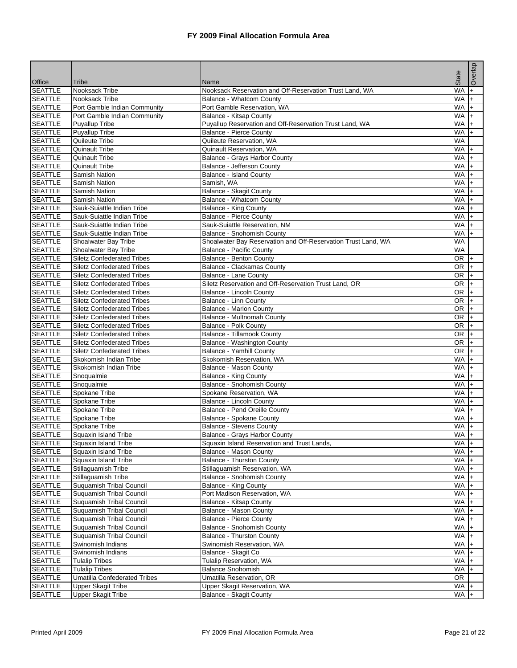|                                  | Tribe                                                                  |                                                                 | State                   | Overlap                  |
|----------------------------------|------------------------------------------------------------------------|-----------------------------------------------------------------|-------------------------|--------------------------|
| Office<br><b>SEATTLE</b>         | Nooksack Tribe                                                         | Name<br>Nooksack Reservation and Off-Reservation Trust Land, WA | <b>WA</b>               | $+$                      |
| <b>SEATTLE</b>                   | Nooksack Tribe                                                         | Balance - Whatcom County                                        | WA                      | $\ddot{}$                |
| <b>SEATTLE</b>                   | Port Gamble Indian Community                                           | Port Gamble Reservation, WA                                     | WA                      | $\ddot{}$                |
| <b>SEATTLE</b>                   | Port Gamble Indian Community                                           | Balance - Kitsap County                                         | $WA +$                  |                          |
| <b>SEATTLE</b>                   | <b>Puyallup Tribe</b>                                                  | Puyallup Reservation and Off-Reservation Trust Land, WA         | WA                      | $\ddot{}$                |
| <b>SEATTLE</b>                   | <b>Puyallup Tribe</b>                                                  | Balance - Pierce County                                         | WA                      | $+$                      |
| <b>SEATTLE</b>                   | Quileute Tribe                                                         | Quileute Reservation, WA                                        | <b>WA</b>               |                          |
| <b>SEATTLE</b>                   | <b>Quinault Tribe</b>                                                  | Quinault Reservation, WA                                        | WA                      | $\overline{+}$           |
| <b>SEATTLE</b>                   | Quinault Tribe                                                         | Balance - Grays Harbor County                                   | WA                      | $+$                      |
| <b>SEATTLE</b>                   | <b>Quinault Tribe</b>                                                  | Balance - Jefferson County                                      | $WA +$                  |                          |
| <b>SEATTLE</b>                   | <b>Samish Nation</b>                                                   | <b>Balance - Island County</b>                                  | WA                      | $\ddot{}$                |
| <b>SEATTLE</b>                   | Samish Nation                                                          | Samish, WA                                                      | WA                      | $+$                      |
| <b>SEATTLE</b>                   | Samish Nation                                                          | Balance - Skagit County                                         | WA                      | $\ddot{}$                |
| <b>SEATTLE</b>                   | Samish Nation                                                          | Balance - Whatcom County                                        | WA                      | $\ddot{}$                |
| <b>SEATTLE</b>                   | Sauk-Suiattle Indian Tribe                                             | Balance - King County                                           | WA                      | $\ddot{}$                |
| <b>SEATTLE</b>                   | Sauk-Suiattle Indian Tribe                                             | Balance - Pierce County                                         | WA                      | $+$                      |
| <b>SEATTLE</b>                   | Sauk-Suiattle Indian Tribe                                             | Sauk-Suiattle Reservation, NM                                   | WA                      | $+$                      |
| <b>SEATTLE</b>                   | Sauk-Suiattle Indian Tribe                                             | Balance - Snohomish County                                      | WA                      | $\ddot{}$                |
| <b>SEATTLE</b>                   | <b>Shoalwater Bay Tribe</b>                                            | Shoalwater Bay Reservation and Off-Reservation Trust Land, WA   | <b>WA</b>               |                          |
| <b>SEATTLE</b>                   | Shoalwater Bay Tribe                                                   | <b>Balance - Pacific County</b>                                 | <b>WA</b>               |                          |
| <b>SEATTLE</b>                   | <b>Siletz Confederated Tribes</b>                                      | Balance - Benton County                                         | $OR +$                  |                          |
| <b>SEATTLE</b>                   | <b>Siletz Confederated Tribes</b>                                      | Balance - Clackamas County                                      | OR +                    |                          |
| <b>SEATTLE</b>                   | <b>Siletz Confederated Tribes</b>                                      | <b>Balance - Lane County</b>                                    | OR                      | l+                       |
| <b>SEATTLE</b>                   | <b>Siletz Confederated Tribes</b>                                      | Siletz Reservation and Off-Reservation Trust Land, OR           | OR                      | $\ddot{}$                |
| <b>SEATTLE</b><br><b>SEATTLE</b> | <b>Siletz Confederated Tribes</b>                                      | Balance - Lincoln County                                        | OR.                     | $\ddot{}$                |
|                                  | <b>Siletz Confederated Tribes</b>                                      | Balance - Linn County                                           | OR                      | $+$                      |
| <b>SEATTLE</b><br><b>SEATTLE</b> | <b>Siletz Confederated Tribes</b>                                      | <b>Balance - Marion County</b><br>Balance - Multnomah County    | OR<br>OR                | l+<br>$\left  + \right $ |
| <b>SEATTLE</b>                   | <b>Siletz Confederated Tribes</b><br><b>Siletz Confederated Tribes</b> | Balance - Polk County                                           | $OR +$                  |                          |
| <b>SEATTLE</b>                   | <b>Siletz Confederated Tribes</b>                                      | Balance - Tillamook County                                      | OR                      | $\ddot{}$                |
| <b>SEATTLE</b>                   | <b>Siletz Confederated Tribes</b>                                      | Balance - Washington County                                     | OR                      | $+$                      |
| <b>SEATTLE</b>                   | <b>Siletz Confederated Tribes</b>                                      | Balance - Yamhill County                                        | OR <sub>1</sub>         | $ +$                     |
| <b>SEATTLE</b>                   | Skokomish Indian Tribe                                                 | Skokomish Reservation, WA                                       | WA                      | l+                       |
| <b>SEATTLE</b>                   | Skokomish Indian Tribe                                                 | Balance - Mason County                                          | WA                      | $\ddot{}$                |
| <b>SEATTLE</b>                   | Snoqualmie                                                             | <b>Balance - King County</b>                                    | WA                      | $\left  + \right $       |
| <b>SEATTLE</b>                   | Snoqualmie                                                             | Balance - Snohomish County                                      | WA                      | $\ddot{}$                |
| <b>SEATTLE</b>                   | Spokane Tribe                                                          | Spokane Reservation, WA                                         | WA                      | $+$                      |
| <b>SEATTLE</b>                   | Spokane Tribe                                                          | Balance - Lincoln County                                        | WA                      | l+                       |
| <b>SEATTLE</b>                   | Spokane Tribe                                                          | Balance - Pend Oreille County                                   | $WA +$                  |                          |
| <b>SEATTLE</b>                   | Spokane Tribe                                                          | Balance - Spokane County                                        | WA                      | $\ddot{}$                |
| <b>SEATTLE</b>                   | Spokane Tribe                                                          | Balance - Stevens County                                        | WA                      | $+$                      |
| <b>SEATTLE</b>                   | Squaxin Island Tribe                                                   | Balance - Grays Harbor County                                   | $WA +$                  |                          |
| <b>SEATTLE</b>                   | Squaxin Island Tribe                                                   | Squaxin Island Reservation and Trust Lands,                     | $WA +$                  |                          |
| <b>SEATTLE</b>                   | Squaxin Island Tribe                                                   | Balance - Mason County                                          | $WA +$                  |                          |
| <b>SEATTLE</b>                   | Squaxin Island Tribe                                                   | <b>Balance - Thurston County</b>                                | $WA +$                  |                          |
| <b>SEATTLE</b>                   | Stillaguamish Tribe                                                    | Stillaquamish Reservation, WA                                   | $WA +$                  |                          |
| <b>SEATTLE</b>                   | Stillaguamish Tribe                                                    | Balance - Snohomish County                                      | $WA +$                  |                          |
| <b>SEATTLE</b>                   | Suquamish Tribal Council                                               | Balance - King County                                           | WA +                    |                          |
| <b>SEATTLE</b>                   | <b>Suquamish Tribal Council</b>                                        | Port Madison Reservation, WA                                    | WA +                    |                          |
| <b>SEATTLE</b>                   | <b>Suquamish Tribal Council</b>                                        | Balance - Kitsap County                                         | $WA +$                  |                          |
| <b>SEATTLE</b>                   | Suquamish Tribal Council                                               | Balance - Mason County                                          | $WA +$                  |                          |
| <b>SEATTLE</b>                   | <b>Suquamish Tribal Council</b>                                        | <b>Balance - Pierce County</b>                                  | WA +                    |                          |
| <b>SEATTLE</b>                   | Suquamish Tribal Council                                               | Balance - Snohomish County                                      | $WA +$                  |                          |
| <b>SEATTLE</b>                   | Suquamish Tribal Council                                               | <b>Balance - Thurston County</b>                                | $WA +$                  |                          |
| <b>SEATTLE</b>                   | Swinomish Indians                                                      | Swinomish Reservation, WA                                       | WA +                    |                          |
| <b>SEATTLE</b>                   | Swinomish Indians                                                      | Balance - Skagit Co                                             | WA +                    |                          |
| <b>SEATTLE</b>                   | <b>Tulalip Tribes</b>                                                  | Tulalip Reservation, WA                                         | $WA +$<br>$WA +$        |                          |
| <b>SEATTLE</b>                   | <b>Tulalip Tribes</b>                                                  | <b>Balance Snohomish</b>                                        |                         |                          |
| <b>SEATTLE</b><br><b>SEATTLE</b> | <b>Umatilla Confederated Tribes</b><br><b>Upper Skagit Tribe</b>       | Umatilla Reservation, OR                                        | OR<br>$W\overline{A}$ + |                          |
| <b>SEATTLE</b>                   | <b>Upper Skagit Tribe</b>                                              | Upper Skagit Reservation, WA<br>Balance - Skagit County         | $WA +$                  |                          |
|                                  |                                                                        |                                                                 |                         |                          |